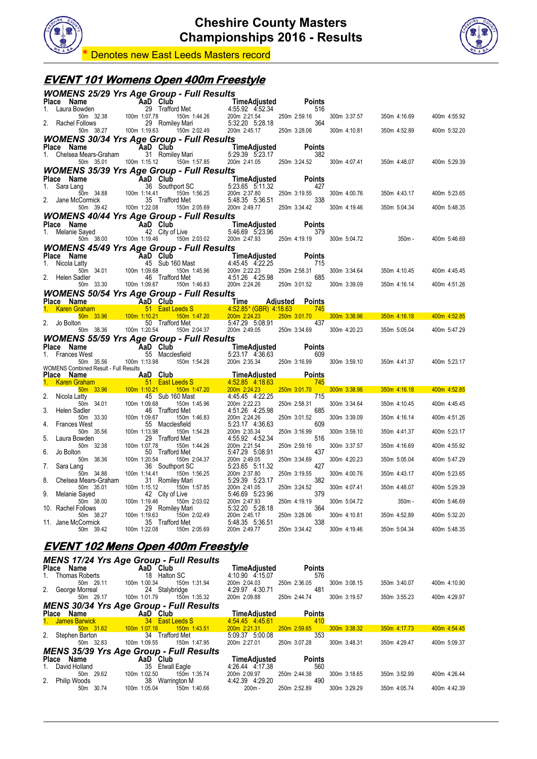



**Denotes new East Leeds Masters record** 

### **EVENT 101 Womens Open 400m Freestyle**

|                                                               | <b>WOMENS 25/29 Yrs Age Group - Full Results</b>                                                   |                                                                                                                                                                 |                               |              |                           |              |
|---------------------------------------------------------------|----------------------------------------------------------------------------------------------------|-----------------------------------------------------------------------------------------------------------------------------------------------------------------|-------------------------------|--------------|---------------------------|--------------|
| Place Name<br>Laura Bowden                                    |                                                                                                    |                                                                                                                                                                 | <b>Points</b><br>516          |              |                           |              |
|                                                               | <b>me</b><br><b>AaD Club</b><br>50m 32.38 100m 1:07.78 1<br>5-news 100m 1:07.78 1                  | <b>aD Club</b><br><b>TimeAdjusted</b><br>29 Trafford Met<br>$1.97.78$<br>150m 1:44.26<br>200m 2:21.54<br>29 Romiley Mari<br>29 Romiley Mari<br>2.532.20 5:28.18 | 250m 2:59.16                  | 300m 3:37.57 | 350m 4:16.69              | 400m 4:55.92 |
| 2. Rachel Follows                                             | 29 Romiley Mari<br>50m 38.27 100m 1:19.63<br>150m 2:02.49                                          | 5:32.20 5:28.18<br>200m 2:45.17                                                                                                                                 | 364<br>250m 3:28.06           | 300m 4:10.81 | 350m 4:52.89              | 400m 5:32.20 |
|                                                               | <b>WOMENS 30/34 Yrs Age Group - Full Results</b>                                                   |                                                                                                                                                                 |                               |              |                           |              |
| Place Name<br>1. Chelsea Mears-Graham                         | AaD Club<br>31 Romiley Mari                                                                        | <b>TimeAdjusted Poi</b><br>5:29.39  5:23.17                                                                                                                     | <b>Points</b><br>382          |              |                           |              |
| 50m 35.01                                                     | 100m 1:15.12   150m 1:57.85                                                                        | 200m 2:41.05 250m 3:24.52                                                                                                                                       |                               | 300m 4:07.41 | 350m 4:48.07              | 400m 5:29.39 |
|                                                               | <b>WOMENS 35/39 Yrs Age Group - Full Results</b>                                                   |                                                                                                                                                                 |                               |              |                           |              |
| Place Name<br>1. Sara Lang                                    | e <b>AaD Club</b><br>36 Southp<br><b>Croup - .</b><br>aD Club<br>36 Southport SC<br>$150m$ 1:56.25 | TimeAdjusted<br>5.23.65 5.11.32                                                                                                                                 | <b>Points</b><br>427          |              |                           |              |
| $\frac{50m}{2}$ 34.88 100m 1:14.41<br>2. Jane McCormick       | 35 Trafford Met                                                                                    | 200m 2:37.80<br>5:48.35 5:36.51                                                                                                                                 | 250m 3:19.55<br>338           | 300m 4:00.76 | 350m 4:43.17              | 400m 5:23.65 |
| 50m 39.42                                                     | 100m 1:22.08<br>150m 2:05.69                                                                       | 200m 2:49.77                                                                                                                                                    | 250m 3:34.42                  | 300m 4:19.46 | 350m 5:04.34              | 400m 5:48.35 |
|                                                               | <b>WOMENS 40/44 Yrs Age Group - Full Results</b>                                                   |                                                                                                                                                                 |                               |              |                           |              |
| <b>Place Name</b><br>1. Melanie Sayed <b>AaD</b> City of Live |                                                                                                    | <b>TimeAdjusted</b><br>5:46.69 5:23.96                                                                                                                          | Points<br>379                 |              |                           |              |
| 50m 38.00 100m 1:19.46                                        | 150m 2:03.02                                                                                       | 200m 2:47.93 250m 4:19.19                                                                                                                                       |                               | 300m 5:04.72 | 350m -                    | 400m 5:46.69 |
| Place Name                                                    | <b>WOMENS 45/49 Yrs Age Group - Full Results</b>                                                   |                                                                                                                                                                 | <b>Points</b>                 |              |                           |              |
| 1. Nicola Latty                                               | <b>AaD Club</b><br>45 Sub 160 Mast 4:45.45 4:22.25                                                 |                                                                                                                                                                 | 715                           |              |                           |              |
| 50m 34.01<br>2. Helen Sadler                                  | $\frac{100m}{46}$ 1:09.68<br>150m 1:45.96<br>46 Trafford Met                                       | 200m 2:22.23<br>4:51.26 4:25.98                                                                                                                                 | 250m 2:58.31<br>685           | 300m 3:34.64 | 350m 4:10.45              | 400m 4:45.45 |
| 50m 33.30 100m 1:09.67                                        | 150m 1:46.83                                                                                       | 200m 2:24.26                                                                                                                                                    | 250m 3:01.52                  | 300m 3:39.09 | 350m 4:16.14              | 400m 4:51.26 |
| Place Name                                                    | <b>WOMENS 50/54 Yrs Age Group - Full Results</b><br><b>Example 2</b> TAaD Club                     | <b>Time</b>                                                                                                                                                     | <b>Adjusted Points</b>        |              |                           |              |
| 1. Karen Graham 51 East Leeds S                               |                                                                                                    | $4.52.85*(GBR)$ $4.18.63$                                                                                                                                       | 745<br><b>Service Service</b> |              |                           |              |
| 2. Jo Bolton                                                  | 50 Trafford Met                                                                                    | 150m 1:47.20 200m 2:24.23<br>5:47.29 5:08.91                                                                                                                    | 250m 3:01.70<br>437           | 300m 3:38.96 | 350m 4:16.18 400m 4:52.85 |              |
| 50m 38.36                                                     | 100m 1:20.54<br>150m 2:04.37                                                                       | 200m 2:49.05                                                                                                                                                    | 250m 3:34.69                  | 300m 4:20.23 | 350m 5:05.04              | 400m 5:47.29 |
|                                                               | <b>WOMENS 55/59 Yrs Age Group - Full Results</b>                                                   |                                                                                                                                                                 |                               |              |                           |              |
|                                                               |                                                                                                    |                                                                                                                                                                 |                               |              |                           |              |
| Place Name<br>1. Frances West                                 | AaD Club<br>55 Maccle<br>55 Macclesfield                                                           | <b>TimeAdjusted</b><br>Id                    5:23.17    4:36.63<br>5:23.17 4:36.63                                                                              | <b>Points</b><br>609          |              |                           |              |
| 50m 35.56 100m 1:13.98                                        | 150m 1:54.28                                                                                       | 200m 2:35.34                                                                                                                                                    | 250m 3:16.99                  | 300m 3:59.10 | 350m 4:41.37              | 400m 5:23.17 |
| <b>WOMENS Combined Result - Full Results</b><br>Place Name    | <b>Example 2</b> AaD Club                                                                          | <b>TimeAdjusted</b>                                                                                                                                             | <b>Points</b>                 |              |                           |              |
| $50m$ 33.96                                                   | 1. Karen Graham <b>1999</b> 51 East Leeds S<br>$100m$ 1:10.21<br>$150m$ 1:47.20                    | 4:52.85 4:18.63<br>200m 2:24.23                                                                                                                                 | 745<br>250m 3:01.70           | 300m 3:38.96 | $350m$ 4:16.18            | 400m 4:52.85 |
| 2.<br>Nicola Latty                                            | 45 Sub 160 Mast                                                                                    | 4:45.45 4:22.25                                                                                                                                                 | 715                           |              |                           |              |
| 50m 34.01<br>Helen Sadler                                     | 100m 1:09.68<br>150m 1:45.96<br>46 Trafford Met                                                    | 200m 2:22.23<br>4:51.26 4:25.98                                                                                                                                 | 250m 2:58.31<br>685           | 300m 3:34.64 | 350m 4:10.45              | 400m 4:45.45 |
| 50m 33.30<br><b>Frances West</b><br>4.                        | 100m 1:09.67<br>150m 1:46.83<br>55 Macclesfield                                                    | 200m 2:24.26<br>5:23.17 4:36.63                                                                                                                                 | 250m 3:01.52<br>609           | 300m 3:39.09 | 350m 4:16.14              | 400m 4:51.26 |
| 50m 35.56                                                     | 100m 1:13.98<br>150m 1:54.28                                                                       | 200m 2:35.34                                                                                                                                                    | 250m 3:16.99                  | 300m 3:59.10 | 350m 4:41.37              | 400m 5:23.17 |
| 5.<br>Laura Bowden<br>50m 32.38                               | 29 Trafford Met<br>100m 1:07.78<br>150m 1:44.26                                                    | 4:55.92 4:52.34<br>200m 2:21.54                                                                                                                                 | 516<br>250m 2:59.16           | 300m 3:37.57 | 350m 4:16.69              | 400m 4:55.92 |
| Jo Bolton<br>6.                                               | 50 Trafford Met                                                                                    | 5:47.29 5:08.91                                                                                                                                                 | 437                           |              |                           |              |
| 50m 38.36<br>Sara Lang<br>7.                                  | 100m 1:20.54<br>150m 2:04.37<br>36 Southport SC                                                    | 200m 2:49.05<br>5:23.65 5:11.32                                                                                                                                 | 250m 3:34.69<br>427           | 300m 4:20.23 | 350m 5:05.04              | 400m 5:47.29 |
| 50m 34.88<br>8.<br>Chelsea Mears-Graham                       | 100m 1:14.41<br>150m 1:56.25<br>31 Romiley Mari                                                    | 200m 2:37.80<br>5:29.39 5:23.17                                                                                                                                 | 250m 3:19.55<br>382           | 300m 4:00.76 | 350m 4:43.17              | 400m 5:23.65 |
| 50m 35.01                                                     | 100m 1:15.12<br>150m 1:57.85                                                                       | 200m 2:41.05                                                                                                                                                    | 250m 3:24.52                  | 300m 4:07.41 | 350m 4:48.07              | 400m 5:29.39 |
| 9.<br>Melanie Sayed<br>50m 38.00                              | 42 City of Live<br>100m 1:19.46<br>150m 2:03.02                                                    | 5:46.69 5:23.96<br>200m 2:47.93                                                                                                                                 | 379<br>250m 4:19.19           | 300m 5:04.72 | $350m -$                  | 400m 5:46.69 |
| 10. Rachel Follows<br>50m 38.27                               | 29 Romiley Mari<br>100m 1:19.63<br>150m 2:02.49                                                    | 5:32.20 5:28.18<br>200m 2:45.17                                                                                                                                 | 364<br>250m 3:28.06           | 300m 4:10.81 | 350m 4:52.89              | 400m 5:32.20 |
| 11. Jane McCormick                                            | 35 Trafford Met                                                                                    | 5:48.35 5:36.51                                                                                                                                                 | 338                           |              |                           |              |
| 50m 39.42                                                     | 100m 1:22.08<br>150m 2:05.69                                                                       | 200m 2:49.77                                                                                                                                                    | 250m 3:34.42                  | 300m 4:19.46 | 350m 5:04.34              | 400m 5:48.35 |
|                                                               | <u>EVENT 102 Mens Open 400m Freestyle</u>                                                          |                                                                                                                                                                 |                               |              |                           |              |
|                                                               | <b>MENS 17/24 Yrs Age Group - Full Results</b>                                                     |                                                                                                                                                                 |                               |              |                           |              |
| Place Name<br><b>Thomas Roberts</b><br>1.                     | AaD Club<br>18 Halton SC                                                                           | TimeAdjusted                                                                                                                                                    | Points<br>576                 |              |                           |              |
| 50m 29.11<br>2.<br>George Morreal                             | 100m 1:00.34<br>150m 1:31.94<br>24 Stalybridge                                                     | 4:10.90 4:15.07<br>200m 2:04.03<br>4:29.97 4:30.71                                                                                                              | 250m 2:36.05<br>481           | 300m 3:08.15 | 350m 3:40.07              | 400m 4:10.90 |

*MENS 30/34 Yrs Age Group - Full Results*

| Place | Name                 | AaD<br><b>Club</b>                             | TimeAdiusted    | <b>Points</b> |              |                |              |
|-------|----------------------|------------------------------------------------|-----------------|---------------|--------------|----------------|--------------|
|       | <b>James Barwick</b> | 34 East Leeds S                                | 4:54.45 4:45.61 |               |              |                |              |
|       | 50m 31.62            | 150m 1:43.51<br>$100m$ 1:07.16                 | 200m 2:21.31    | 250m 2:59.65  | 300m 3:38.32 | $350m$ 4:17.73 | 400m 4:54.45 |
|       | Stephen Barton       | Trafford Met<br>34                             | 5:09.37 5:00.08 | 353           |              |                |              |
|       | 50m 32.83            | 100m 1:09.55<br>150m 1:47.95                   | 200m 2:27.01    | 250m 3:07.28  | 300m 3:48.31 | 350m 4:29.47   | 400m 5:09.37 |
|       |                      | <b>MENS 35/39 Yrs Age Group - Full Results</b> |                 |               |              |                |              |
| Place | Name                 | AaD Club                                       | TimeAdiusted    | <b>Points</b> |              |                |              |
|       | David Holland        | 35 Etwall Eagle                                | 4:26.44 4:17.38 | 560           |              |                |              |
|       | 50m 29.62            | 100m 1:02.50<br>150m 1:35.74                   | 200m 2:09.97    | 250m 2:44.38  | 300m 3:18.65 | 350m 3:52.99   | 400m 4:26.44 |
|       | Philip Woods         | 38<br>Warrington M                             | 4:42.39 4:29.20 | 490           |              |                |              |
|       | 30.74                | 100m 1:05.04<br>150m 1:40.66                   | $200m -$        | 250m 2:52.89  | 300m 3:29.29 | 350m 4:05.74   | 400m 4:42.39 |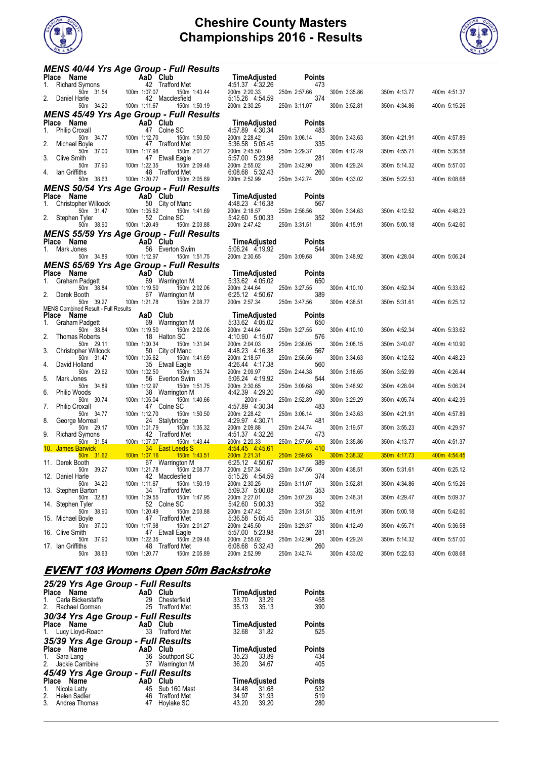



|       | MENS 40/44 Yrs Age Group - Full Results                                                       |                                      |                                                |                                                    |                            |              |              |              |
|-------|-----------------------------------------------------------------------------------------------|--------------------------------------|------------------------------------------------|----------------------------------------------------|----------------------------|--------------|--------------|--------------|
|       |                                                                                               |                                      | 42 Trafford Met                                | TimeAdjusted<br>4:51.37 4:32.26                    | <b>Points</b><br>473       |              |              |              |
|       | Place Name<br>1. Richard Symons 42 Traffor<br>2. Dopiel Mark 154 100m 1:07.07<br>Daniel Harle |                                      | 150m 1:43.44<br>42 Macclesfield                | 200m 2:20.33<br>5:15.26 4:54.59                    | 250m 2:57.66<br>374        | 300m 3:35.86 | 350m 4:13.77 | 400m 4:51.37 |
|       | 50m 34.20                                                                                     | 100m 1:11.67                         | 150m 1:50.19                                   | 200m 2:30.25                                       | 250m 3:11.07               | 300m 3:52.81 | 350m 4:34.86 | 400m 5:15.26 |
|       | <b>MENS 45/49 Yrs Age Group - Full Results</b>                                                |                                      |                                                |                                                    |                            |              |              |              |
|       | Place Name                                                                                    | AaD Club                             |                                                | TimeAdjusted                                       | <b>Points</b>              |              |              |              |
|       | 1. Philip Croxall<br>50m 34.77<br>2. Michael Boyle                                            | $100m$ 1:12.70                       | 47 Colne SC<br>150m 1:50.50<br>47 Trafford Met | 4:57.89 4:30.34<br>200m 2:28.42<br>5:36.58 5:05.45 | 483<br>250m 3:06.14<br>335 | 300m 3:43.63 | 350m 4:21.91 | 400m 4:57.89 |
| 3.    | 50m 37.00                                                                                     | 100m 1:17.98                         | 150m 2:01.27<br>47 Etwall Eagle                | 200m 2:45.50<br>5:57.00 5:23.98                    | 250m 3:29.37<br>281        | 300m 4:12.49 | 350m 4:55.71 | 400m 5:36.58 |
|       | Clive Smith<br>50m 37.90                                                                      | 100m 1:22.35                         | 150m 2:09.48                                   | 200m 2:55.02<br>6:08.68 5:32.43                    | 250m 3:42.90<br>260        | 300m 4:29.24 | 350m 5:14.32 | 400m 5:57.00 |
|       | 4. Ian Griffiths<br>50m 38.63                                                                 | 100m 1:20.77                         | 48 Trafford Met<br>150m 2:05.89                | 200m 2:52.99                                       | 250m 3:42.74               | 300m 4:33.02 | 350m 5:22.53 | 400m 6:08.68 |
|       | <b>MENS 50/54 Yrs Age Group - Full Results</b>                                                |                                      |                                                |                                                    |                            |              |              |              |
|       | Place Name                                                                                    | <b>AaD</b> Club<br>Ilcock 50 City of |                                                | TimeAdjusted                                       | <b>Points</b>              |              |              |              |
|       | 1. Christopher Willcock<br>50m 31.47                                                          | 100m 1:05.62                         | 50 City of Manc<br>150m 1:41.69                | 4:48.23 4:16.38<br>200m 2:18.57                    | 567<br>250m 2:56.56        | 300m 3:34.63 | 350m 4:12.52 | 400m 4:48.23 |
|       | 2. Stephen Tyler<br>50m 38.90                                                                 | 100m 1:20.49                         | 52 Colne SC<br>150m 2:03.88                    | 5:42.60 5:00.33<br>200m 2:47.42                    | 352<br>250m 3:31.51        | 300m 4:15.91 | 350m 5:00.18 | 400m 5:42.60 |
|       | MENS 55/59 Yrs Age Group - Full Results                                                       |                                      |                                                |                                                    |                            |              |              |              |
|       | Place Name<br>1. Mark Jones                                                                   | AaD Club                             | 56 Everton Swim                                | 5:06.24 4:19.92                                    | TimeAdjusted Points<br>544 |              |              |              |
|       | 50m 34.89                                                                                     | 100m 1:12.97                         | 150m 1:51.75                                   | 200m 2:30.65                                       | 250m 3:09.68               | 300m 3:48.92 | 350m 4:28.04 | 400m 5:06.24 |
|       | <b>MENS 65/69 Yrs Age Group - Full Results</b>                                                |                                      |                                                |                                                    |                            |              |              |              |
|       | Place Name                                                                                    | AaD Club                             | 69 Warrington M                                | TimeAdjusted<br>5:33.62 4:05.02                    | <b>Points</b><br>650       |              |              |              |
|       | 2. Derek Booth                                                                                |                                      | 150m 2:02.06<br>67 Warrington M                | 200m 2:44.64<br>6:25.12 4:50.67                    | 250m 3:27.55<br>389        | 300m 4:10.10 | 350m 4:52.34 | 400m 5:33.62 |
|       | 50m 39.27<br>MENS Combined Result - Full Results                                              | 100m 1:21.78                         | 150m 2:08.77                                   | 200m 2:57.34                                       | 250m 3:47.56               | 300m 4:38.51 | 350m 5:31.61 | 400m 6:25.12 |
| Place | Name                                                                                          | AaD Club                             |                                                | TimeAdjusted                                       | <b>Points</b>              |              |              |              |
|       | 1. Graham Padgett                                                                             |                                      | $69$ Warrington M<br>:19.50                    | 5:33.62 4:05.02                                    | 650                        |              |              |              |
| 2.    | 50m 38.84<br>Thomas Roberts                                                                   | 100m 1:19.50                         | 150m 2:02.06<br>18 Halton SC                   | 200m 2:44.64<br>4:10.90 4:15.07                    | 250m 3:27.55<br>576        | 300m 4:10.10 | 350m 4:52.34 | 400m 5:33.62 |
|       | 50m 29.11<br>3. Christopher Willcock                                                          | 100m 1:00.34                         | 150m 1:31.94<br>50 City of Manc                | 200m 2:04.03<br>4:48.23 4:16.38                    | 250m 2:36.05<br>567        | 300m 3:08.15 | 350m 3:40.07 | 400m 4:10.90 |
| 4.    | 50m 31.47<br>David Holland                                                                    | 100m 1:05.62                         | 150m 1:41.69<br>35 Etwall Eagle                | 200m 2:18.57<br>4:26.44 4:17.38                    | 250m 2:56.56<br>560        | 300m 3:34.63 | 350m 4:12.52 | 400m 4:48.23 |
| 5.    | 50m 29.62<br>Mark Jones                                                                       | 100m 1:02.50                         | 150m 1:35.74<br>56 Everton Swim                | 200m 2:09.97<br>5:06.24 4:19.92                    | 250m 2:44.38<br>544        | 300m 3:18.65 | 350m 3:52.99 | 400m 4:26.44 |
|       | 50m 34.89<br>6. Philip Woods                                                                  | 100m 1:12.97                         | 150m 1:51.75<br>38 Warrington M                | 200m 2:30.65<br>4:42.39 4:29.20                    | 250m 3:09.68<br>490        | 300m 3:48.92 | 350m 4:28.04 | 400m 5:06.24 |
| 7.    | 50m 30.74                                                                                     | 100m 1:05.04                         | 150m 1:40.66<br>47 Colne SC                    | 200m -<br>4:57.89 4:30.34                          | 250m 2:52.89<br>483        | 300m 3:29.29 | 350m 4:05.74 | 400m 4:42.39 |
|       | <b>Philip Croxall</b><br>50m 34.77                                                            | 100m 1:12.70                         | 150m 1:50.50                                   | 200m 2:28.42                                       | 250m 3:06.14               | 300m 3:43.63 | 350m 4:21.91 | 400m 4:57.89 |
|       | 8. George Morreal<br>50m 29.17                                                                | 100m 1:01.79                         | 24 Stalybridge<br>150m 1:35.32                 | 4:29.97 4:30.71<br>200m 2:09.88                    | 481<br>250m 2:44.74        | 300m 3:19.57 | 350m 3:55.23 | 400m 4:29.97 |
|       | 9. Richard Symons<br>50m 31.54                                                                | 100m 1:07.07                         | 42 Trafford Met<br>150m 1:43.44                | 4:51.37 4:32.26<br>200m 2:20.33                    | 473<br>250m 2:57.66        | 300m 3:35.86 | 350m 4:13.77 | 400m 4:51.37 |
|       | <u> 10. James Barwick </u><br>50m 31.62                                                       | 100m 1:07.16                         | 34 East Leeds S<br><u>150m 1:43.51</u>         | 4.54.45 4.45.61<br>200m 2:21.31                    | 410<br>250m 2:59.65        | 300m 3:38.32 | 350m 4:17.73 | 400m 4:54.45 |
|       | 11. Derek Booth                                                                               |                                      | 67 Warrington M                                | 6:25.12 4:50.67                                    | 389                        |              |              |              |
|       | 50m 39.27<br>12. Daniel Harle                                                                 | 100m 1:21.78                         | 150m 2:08.77<br>42 Macclesfield                | 200m 2:57.34<br>5:15.26 4:54.59                    | 250m 3:47.56<br>374        | 300m 4:38.51 | 350m 5:31.61 | 400m 6:25.12 |
|       | 50m 34.20<br>13. Stephen Barton                                                               | 100m 1:11.67                         | 150m 1:50.19<br>34 Trafford Met                | 200m 2:30.25<br>5:09.37 5:00.08                    | 250m 3:11.07<br>353        | 300m 3:52.81 | 350m 4:34.86 | 400m 5:15.26 |
|       | 50m 32.83<br>14. Stephen Tyler                                                                | 100m 1:09.55                         | 150m 1:47.95<br>52 Colne SC                    | 200m 2:27.01<br>5:42.60 5:00.33                    | 250m 3:07.28<br>352        | 300m 3:48.31 | 350m 4:29.47 | 400m 5:09.37 |
|       | 50m 38.90<br>15. Michael Boyle                                                                | 100m 1:20.49                         | 150m 2:03.88<br>47 Trafford Met                | 200m 2:47.42<br>5:36.58 5:05.45                    | 250m 3:31.51<br>335        | 300m 4:15.91 | 350m 5:00.18 | 400m 5:42.60 |
|       | 50m 37.00<br>16. Clive Smith                                                                  | 100m 1:17.98                         | 150m 2:01.27<br>47 Etwall Eagle                | 200m 2:45.50<br>5:57.00 5:23.98                    | 250m 3:29.37<br>281        | 300m 4:12.49 | 350m 4:55.71 | 400m 5:36.58 |
|       | 50m 37.90<br>17. Ian Griffiths                                                                | 100m 1:22.35                         | 150m 2:09.48<br>48 Trafford Met                | 200m 2:55.02<br>6:08.68 5:32.43                    | 250m 3:42.90<br>260        | 300m 4:29.24 | 350m 5:14.32 | 400m 5:57.00 |
|       | 50m 38.63                                                                                     | 100m 1:20.77                         | 150m 2:05.89                                   | 200m 2:52.99                                       | 250m 3:42.74               | 300m 4:33.02 | 350m 5:22.53 | 400m 6:08.68 |

### **EVENT 103 Womens Open 50m Backstroke**

| 25/29 Yrs Age Group - Full Results |                 |                     |       |              |               |
|------------------------------------|-----------------|---------------------|-------|--------------|---------------|
| Place Name                         | AaD Club        |                     |       | TimeAdjusted | <b>Points</b> |
| Carla Bickerstaffe<br>1.           | 29              | Chesterfield        | 33.70 | 33.29        | 458           |
| 2. Rachael Gorman                  |                 | 25 Trafford Met     | 35.13 | 35.13        | 390           |
| 30/34 Yrs Age Group - Full Results |                 |                     |       |              |               |
| Place Name                         | AaD Club        |                     |       | TimeAdjusted | <b>Points</b> |
| 1. Lucy Lloyd-Roach                | 33 Trafford Met |                     |       | 32.68 31.82  | 525           |
| 35/39 Yrs Age Group - Full Results |                 |                     |       |              |               |
| Place Name                         | AaD Club        |                     |       | TimeAdjusted | <b>Points</b> |
| 1. Sara Lang                       | 36              | Southport SC        | 35.23 | 33.89        | 434           |
| 2. Jackie Carribine                | 37              | Warrington M        | 36.20 | 34.67        | 405           |
| 45/49 Yrs Age Group - Full Results |                 |                     |       |              |               |
| Place Name                         | AaD             | Club                |       | TimeAdjusted | <b>Points</b> |
| Nicola Latty<br>1.                 | 45              | Sub 160 Mast        | 34.48 | 31.68        | 532           |
| 2.<br>Helen Sadler                 | 46              | <b>Trafford Met</b> |       | 34.97 31.93  | 519           |
| 3. Andrea Thomas                   | 47              | Hoylake SC          | 43.20 | 39.20        | 280           |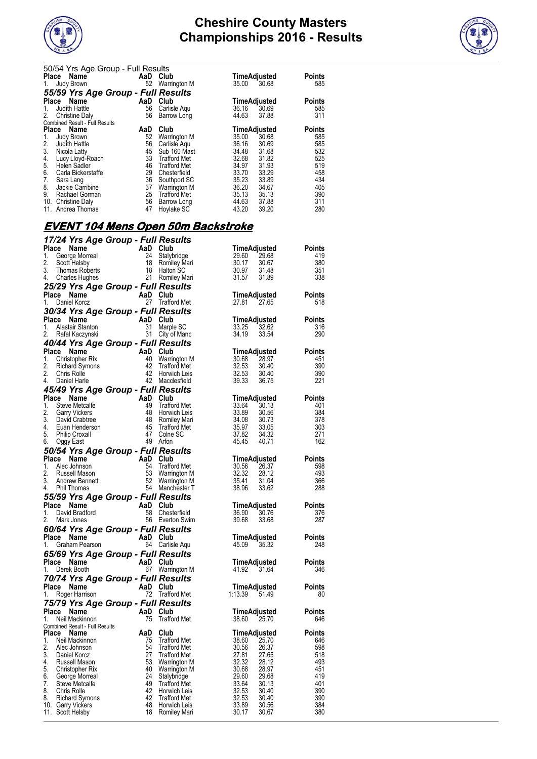



|                  | 50/54 Yrs Age Group - Full Results |          |                     |              |       |               |
|------------------|------------------------------------|----------|---------------------|--------------|-------|---------------|
|                  | Place<br><b>Name</b>               | AaD Club |                     | TimeAdjusted |       | <b>Points</b> |
| 1.               | Judy Brown                         | 52       | Warrington M        | 35.00        | 30.68 | 585           |
|                  | 55/59 Yrs Age Group - Full Results |          |                     |              |       |               |
| Place            | Name                               | AaD      | Club                | TimeAdjusted |       | <b>Points</b> |
| 1.               | Judith Hattle                      | 56       | Carlisle Agu        | 36.16        | 30.69 | 585           |
| 2.               | <b>Christine Daly</b>              | 56       | Barrow Long         | 44.63        | 37.88 | 311           |
|                  | Combined Result - Full Results     |          |                     |              |       |               |
| Place            | Name                               | AaD      | Club                | TimeAdjusted |       | <b>Points</b> |
| 1.               | Judy Brown                         | 52       | <b>Warrington M</b> | 35.00        | 30.68 | 585           |
| 2.               | Judith Hattle                      | 56       | Carlisle Agu        | 36.16        | 30.69 | 585           |
| $\overline{3}$ . | Nicola Latty                       | 45       | Sub 160 Mast        | 34.48        | 31.68 | 532           |
| 4.<br>5.         | Lucy Lloyd-Roach                   | 33       | <b>Trafford Met</b> | 32.68        | 31.82 | 525           |
|                  | Helen Sadler                       | 46       | <b>Trafford Met</b> | 34.97        | 31.93 | 519           |
| 6.               | Carla Bickerstaffe                 | 29       | Chesterfield        | 33.70        | 33.29 | 458           |
| 7.               | Sara Lang                          | 36       | Southport SC        | 35.23        | 33.89 | 434           |
| 8.               | Jackie Carribine                   | 37       | Warrington M        | 36.20        | 34.67 | 405           |
| 9.               | Rachael Gorman                     | 25       | <b>Trafford Met</b> | 35.13        | 35.13 | 390           |
|                  | 10. Christine Daly                 | 56       | Barrow Long         | 44.63        | 37.88 | 311           |
|                  | 11. Andrea Thomas                  | 47       | Hoylake SC          | 43.20        | 39.20 | 280           |

## **EVENT 104 Mens Open 50m Backstroke**

| 17/24 Yrs Age Group - Full Results                                                                                                                                                                                                                                                      |                               |                                     |                                                                 |
|-----------------------------------------------------------------------------------------------------------------------------------------------------------------------------------------------------------------------------------------------------------------------------------------|-------------------------------|-------------------------------------|-----------------------------------------------------------------|
| Carl The Contract Capital Club<br>Ceorge Morreal<br>Scott Helsby<br>Scott Helsby<br>Thomas Roberts<br>Charles Hughes<br>21 Romiley Mari<br>Place Name                                                                                                                                   |                               |                                     | TimeAdjusted<br>Points                                          |
| 1.                                                                                                                                                                                                                                                                                      |                               |                                     | 29.60 29.68<br>30.17 30.67<br>30.97 31.48<br>31.57 31.89<br>419 |
| 2.                                                                                                                                                                                                                                                                                      |                               |                                     | 380                                                             |
| 3.                                                                                                                                                                                                                                                                                      |                               |                                     | 351                                                             |
| 4. Charles Hughes                                                                                                                                                                                                                                                                       |                               |                                     | 338                                                             |
| 25/29 Yrs Age Group - Full Results                                                                                                                                                                                                                                                      |                               |                                     |                                                                 |
| Place Name                                                                                                                                                                                                                                                                              | AaD Club                      |                                     | <b>Points</b>                                                   |
| Daniel Korcz<br>1.                                                                                                                                                                                                                                                                      |                               | 27 Trafford Met                     | 27.81 27.65<br>518                                              |
| 30/34 Yrs Age Group - Full Results                                                                                                                                                                                                                                                      |                               |                                     |                                                                 |
| <b>Place Name AaD Club</b><br>1. Alastair Stanton 31 Marple SC<br>2. Rafal Kaczynski 31 City of Manc                                                                                                                                                                                    |                               |                                     | <b>Points</b><br>TimeAdjusted<br>33.25  32.62                   |
|                                                                                                                                                                                                                                                                                         |                               |                                     | 33.25 32.62<br>316                                              |
|                                                                                                                                                                                                                                                                                         |                               |                                     | 33.54<br>34.19<br>290                                           |
| 40/44 Yrs Age Group - Full Results                                                                                                                                                                                                                                                      |                               |                                     |                                                                 |
| Contract of the Christopher Rix<br>Christopher Rix<br>Christopher Rix<br>Christopher Rix<br>Christopher Rix<br>Christopher Rix<br>Christopher Apple Apple Apple Apple Apple Apple Apple Apple Apple Daniel Harle<br>Christopher Apple Apple<br>Place Name                               |                               |                                     | TimeAdjusted Points                                             |
| 1.                                                                                                                                                                                                                                                                                      |                               |                                     | 30.68 28.97<br>451                                              |
| 2.                                                                                                                                                                                                                                                                                      |                               |                                     | $\frac{20.37}{30.40}$<br>$32.53$<br>$32.53$<br>390              |
| 2.<br>4.                                                                                                                                                                                                                                                                                |                               |                                     | 390<br>39.33 36.75<br>221                                       |
|                                                                                                                                                                                                                                                                                         |                               |                                     |                                                                 |
| 45/49 Yrs Age Group - Full Results<br><b>45/49 Trs Age Group - Full Nessures</b><br>Place Name AaD Club<br>1. Steve Metcalfe 49 Trafford Met<br>2. Garry Vickers<br>3. David Crabtee 48 Romiley Mari<br>4. Euan Henderson 45 Trafford Met<br>5. Philip Croxall 47 Colne SC<br>6. Oggy E |                               |                                     | <b>Points</b>                                                   |
|                                                                                                                                                                                                                                                                                         |                               |                                     | <b>TimeAdjusted</b><br>401                                      |
|                                                                                                                                                                                                                                                                                         |                               |                                     | $33.64$ $30.13$<br>384                                          |
|                                                                                                                                                                                                                                                                                         |                               |                                     | 378                                                             |
|                                                                                                                                                                                                                                                                                         |                               |                                     | 303                                                             |
|                                                                                                                                                                                                                                                                                         |                               |                                     | 33.89 30.56<br>34.08 30.73<br>35.97 33.05<br>37.82 34.32<br>271 |
|                                                                                                                                                                                                                                                                                         |                               |                                     | 162                                                             |
| 50/54 Yrs Age Group - Full Results                                                                                                                                                                                                                                                      |                               |                                     |                                                                 |
| Community Contract Manufacture Name Club<br>Also Club<br>Also Club<br>Also Club<br>Also Club<br>Russell Mason<br>Andrew Bennett<br>Phil Thomas<br>Band Club<br>Sa Warrington M<br>Phil Thomas<br>Sa Manchester T<br>Place Name                                                          |                               |                                     | TimeAdjusted Points                                             |
| 1. Alec Johnson                                                                                                                                                                                                                                                                         |                               |                                     | 598                                                             |
| 2.                                                                                                                                                                                                                                                                                      |                               |                                     | 493                                                             |
| 3.                                                                                                                                                                                                                                                                                      |                               |                                     | 30.56 26.37<br>32.32 28.12<br>35.41 31.04<br>38.96 33.62<br>366 |
| 4. Phil Thomas                                                                                                                                                                                                                                                                          |                               |                                     | 288                                                             |
| <b>55/59 Yrs Age Group - Full Results<br/> Place Name</b> AaD Club<br>1. David Bradford 68 Chesterfield<br>2. Mark Jones 56 Everton Swin                                                                                                                                                |                               |                                     |                                                                 |
|                                                                                                                                                                                                                                                                                         |                               |                                     | <b>Points</b>                                                   |
|                                                                                                                                                                                                                                                                                         |                               |                                     | 376                                                             |
| 2.<br>Mark Jones                                                                                                                                                                                                                                                                        |                               | 56 Everton Swim                     | 287                                                             |
| <b>60/64 Yrs Age Group - Full Results<br/>Place Name AaD Club<br/>1. Graham Pearson 64 Carlisle Aqu</b>                                                                                                                                                                                 |                               |                                     |                                                                 |
|                                                                                                                                                                                                                                                                                         |                               |                                     | TimeAdjusted Points<br>45.09 35.32 248                          |
|                                                                                                                                                                                                                                                                                         |                               |                                     |                                                                 |
| 65/69 Yrs Age Group - Full Results                                                                                                                                                                                                                                                      |                               |                                     |                                                                 |
| Place Name                                                                                                                                                                                                                                                                              | $AaD$ Club<br>67 Warrington M |                                     | <b>Points</b><br><b>TimeAdjusted</b><br>41.92  31.64            |
| 1. Derek Booth                                                                                                                                                                                                                                                                          |                               |                                     | 41.92 31.64<br>346                                              |
| 70/74 Yrs Age Group - Full Results                                                                                                                                                                                                                                                      |                               |                                     |                                                                 |
| <b>Place Name</b><br>1. Roger Harrison <b>Property</b> 72 Trafford Met                                                                                                                                                                                                                  |                               |                                     | TimeAdjusted Points<br>:13.39 51.49 80                          |
|                                                                                                                                                                                                                                                                                         |                               |                                     | 1:13.39 51.49<br>80                                             |
| 75/79 Yrs Age Group - Full Results<br>Place Name<br>1. Neil Mackinnon<br>1. Neil Mackinnon<br>Place Name<br>Place Name<br>Place Name<br>Place Name<br>AaD Club<br>Place Name<br>AaD Club<br>Name<br>AaD Club<br>Trafford Met<br>Name<br>AaD Club                                        |                               |                                     |                                                                 |
|                                                                                                                                                                                                                                                                                         |                               |                                     | $\lim_{29,60}$ Adjusted Points                                  |
|                                                                                                                                                                                                                                                                                         |                               |                                     | 38.60 25.70<br>646                                              |
|                                                                                                                                                                                                                                                                                         |                               |                                     | <b>TimeAdjusted</b><br><b>Points</b>                            |
| Neil Mackinnon<br>1.                                                                                                                                                                                                                                                                    |                               | 75 Trafford Met                     | 646<br>38.60<br>25.70                                           |
| 2.<br>Alec Johnson                                                                                                                                                                                                                                                                      | 54                            | <b>Trafford Met</b>                 | 598<br>26.37<br>30.56                                           |
| 3.<br>Daniel Korcz                                                                                                                                                                                                                                                                      | 27                            | <b>Trafford Met</b>                 | 27.81<br>27.65<br>518                                           |
| 4.<br>Russell Mason                                                                                                                                                                                                                                                                     | 53                            | <b>Warrington M</b>                 | 493<br>32.32<br>28.12                                           |
| 5.<br>Christopher Rix                                                                                                                                                                                                                                                                   | 40                            | Warrington M                        | 28.97<br>451<br>30.68                                           |
| 6.<br>George Morreal                                                                                                                                                                                                                                                                    | 24                            | Stalybridge                         | 419<br>29.60<br>29.68                                           |
| 7.<br>Steve Metcalfe                                                                                                                                                                                                                                                                    | 49                            | <b>Trafford Met</b>                 | 33.64<br>401<br>30.13                                           |
| 8.<br>Chris Rolle                                                                                                                                                                                                                                                                       | 42                            | Horwich Leis                        | 32.53<br>30.40<br>390                                           |
| 8.<br><b>Richard Symons</b><br>10. Garry Vickers                                                                                                                                                                                                                                        | 42<br>48                      | <b>Trafford Met</b><br>Horwich Leis | 32.53<br>30.40<br>390<br>384<br>33.89<br>30.56                  |
| 11. Scott Helsby                                                                                                                                                                                                                                                                        | 18                            | Romiley Mari                        | 30.17<br>380<br>30.67                                           |
|                                                                                                                                                                                                                                                                                         |                               |                                     |                                                                 |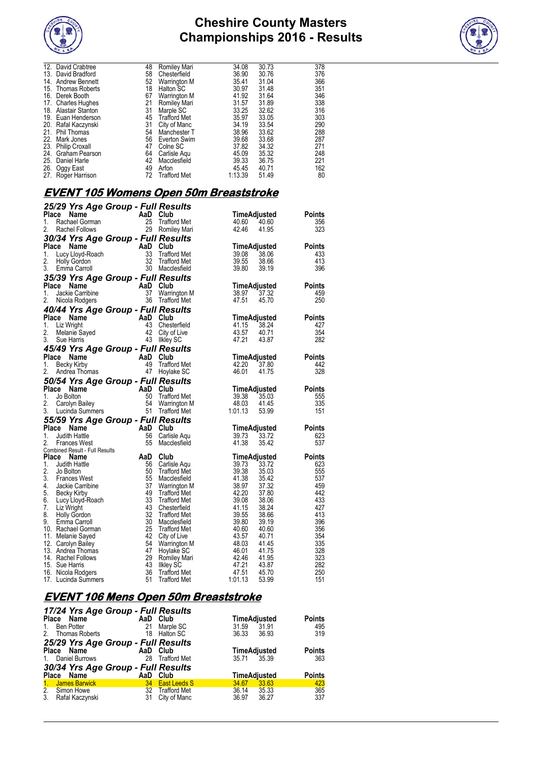



|     | 12. David Crabtree    | 48 | Romiley Mari        | 34.08   | 30.73 | 378 |
|-----|-----------------------|----|---------------------|---------|-------|-----|
| 13. | David Bradford        | 58 | Chesterfield        | 36.90   | 30.76 | 376 |
| 14. | <b>Andrew Bennett</b> | 52 | Warrington M        | 35.41   | 31.04 | 366 |
| 15. | Thomas Roberts        | 18 | Halton SC           | 30.97   | 31.48 | 351 |
| 16. | Derek Booth           | 67 | Warrington M        | 41.92   | 31.64 | 346 |
|     | 17. Charles Hughes    | 21 | Romiley Mari        | 31.57   | 31.89 | 338 |
| 18. | Alastair Stanton      | 31 | Marple SC           | 33.25   | 32.62 | 316 |
|     | 19. Euan Henderson    | 45 | <b>Trafford Met</b> | 35.97   | 33.05 | 303 |
|     | 20. Rafal Kaczynski   | 31 | City of Manc        | 34.19   | 33.54 | 290 |
| 21. | <b>Phil Thomas</b>    | 54 | Manchester T        | 38.96   | 33.62 | 288 |
| 22. | Mark Jones            | 56 | Everton Swim        | 39.68   | 33.68 | 287 |
| 23. | <b>Philip Croxall</b> | 47 | Colne SC            | 37.82   | 34.32 | 271 |
|     | 24. Graham Pearson    | 64 | Carlisle Agu        | 45.09   | 35.32 | 248 |
|     | 25. Daniel Harle      | 42 | Macclesfield        | 39.33   | 36.75 | 221 |
| 26. | Oggy East             | 49 | Arfon               | 45.45   | 40.71 | 162 |
| 27. | Roger Harrison        | 72 | <b>Trafford Met</b> | 1:13.39 | 51.49 | 80  |
|     |                       |    |                     |         |       |     |

#### **EVENT 105 Womens Open 50m Breaststroke**

|              |                                        | 25/29 Yrs Age Group - Full Results        |                     |         |                       |               |
|--------------|----------------------------------------|-------------------------------------------|---------------------|---------|-----------------------|---------------|
| <b>Place</b> | Name                                   | AaD                                       | Club                |         | TimeAdjusted          | Points        |
| 1.           | Rachael Gorman                         | 25                                        | <b>Trafford Met</b> | 40.60   | 40.60                 | 356           |
| 2.           | Rachel Follows                         | 29                                        | Romiley Mari        | 42.46   | 41.95                 | 323           |
|              |                                        | 30/34 Yrs Age Group - Full Results        |                     |         |                       |               |
|              | Place<br>Name                          | AaD                                       | Club                |         | TimeAdjusted          | <b>Points</b> |
| 1.           | Lucy Lloyd-Roach                       | 33                                        | <b>Trafford Met</b> | 39.08   | 38.06                 | 433           |
| 2.           | Holly Gordon                           | 32                                        | <b>Trafford Met</b> | 39.55   | 38.66                 | 413           |
| 3.           | Emma Carroll                           | 30                                        | Macclesfield        | 39.80   | 39.19                 | 396           |
|              |                                        | 35/39 Yrs Age Group - Full Results        |                     |         |                       |               |
| Place        | Name                                   | AaD                                       | Club                |         | TimeAdjusted          | Points        |
| 1.           | Jackie Carribine                       | 37                                        | Warrington M        | 38.97   | 37.32                 | 459           |
| 2.           | Nicola Rodgers                         | 36                                        | <b>Trafford Met</b> | 47.51   | 45.70                 | 250           |
|              |                                        | 40/44 Yrs Age Group - Full Results        |                     |         |                       |               |
|              | Place<br>Name                          | AaD                                       | Club                |         | TimeAdjusted          | <b>Points</b> |
| 1.           | Liz Wright                             | 43                                        | Chesterfield        | 41.15   | 38.24                 | 427           |
| 2.           | Melanie Sayed                          | 42                                        | City of Live        | 43.57   | 40.71                 | 354           |
| 3.           | Sue Harris                             | 43                                        | Ilkley SC           | 47.21   | 43.87                 | 282           |
|              |                                        |                                           |                     |         |                       |               |
| Place        | Name                                   | 45/49 Yrs Age Group - Full Results<br>AaD | Club                |         |                       | Points        |
| 1.           | <b>Becky Kirby</b>                     | 49                                        | <b>Trafford Met</b> | 42.20   | TimeAdjusted<br>37.80 | 442           |
| 2.           | Andrea Thomas                          | 47                                        | Hoylake SC          | 46.01   | 41.75                 | 328           |
|              |                                        |                                           |                     |         |                       |               |
|              |                                        | 50/54 Yrs Age Group - Full Results        |                     |         |                       |               |
|              | Place Name                             | AaD                                       | Club                |         | TimeAdjusted          | <b>Points</b> |
| 1.<br>2.     | Jo Bolton                              | 50<br>54                                  | <b>Trafford Met</b> | 39.38   | 35.03                 | 555<br>335    |
|              | Carolyn Bailey                         | 51                                        | Warrington M        | 48.03   | 41.45                 | 151           |
| 3.           | Lucinda Summers                        |                                           | Trafford Met        | 1:01.13 | 53.99                 |               |
|              |                                        | 55/59 Yrs Age Group - Full Results        |                     |         |                       |               |
|              | Place<br>Name                          | AaD                                       | Club                |         | <b>TimeAdjusted</b>   | Points        |
| 1.           | <b>Judith Hattle</b>                   | 56                                        | Carlisle Aqu        | 39.73   | 33.72                 | 623           |
| 2.           | Frances West                           | 55                                        | Macclesfield        | 41.38   | 35.42                 | 537           |
| Place        | Combined Result - Full Results<br>Name | AaD                                       | Club                |         | <b>TimeAdjusted</b>   | <b>Points</b> |
| 1.           | Judith Hattle                          | 56                                        | Carlisle Aqu        | 39.73   | 33.72                 | 623           |
| 2.           | Jo Bolton                              | 50                                        | <b>Trafford Met</b> | 39.38   | 35.03                 | 555           |
| 3.           | <b>Frances West</b>                    | 55                                        | Macclesfield        | 41.38   | 35.42                 | 537           |
| 4.           | Jackie Carribine                       | 37                                        | <b>Warrington M</b> | 38.97   | 37.32                 | 459           |
| 5.           | Becky Kirby                            | 49                                        | <b>Trafford Met</b> | 42.20   | 37.80                 | 442           |
| 6.           | Lucy Lloyd-Roach                       | 33                                        | <b>Trafford Met</b> | 39.08   | 38.06                 | 433           |
| 7.           | Liz Wright                             | 43                                        | Chesterfield        | 41.15   | 38.24                 | 427           |
| 8.           | <b>Holly Gordon</b>                    | 32                                        | <b>Trafford Met</b> | 39.55   | 38.66                 | 413           |
| 9.           | Emma Carroll                           | 30                                        | Macclesfield        | 39.80   | 39.19                 | 396           |
|              | 10. Rachael Gorman                     | 25                                        | <b>Trafford Met</b> | 40.60   | 40.60                 | 356           |
|              | 11. Melanie Sayed                      | 42                                        | City of Live        | 43.57   | 40.71                 | 354           |
|              | 12. Carolyn Bailey                     | 54                                        | Warrington M        | 48.03   | 41.45                 | 335           |
|              | 13. Andrea Thomas                      | 47                                        | Hoylake SC          | 46.01   | 41.75                 | 328           |
|              | 14. Rachel Follows                     | 29                                        | Romiley Mari        | 42.46   | 41.95                 | 323           |
|              | 15. Sue Harris                         | 43                                        | <b>Ilkley SC</b>    | 47.21   | 43.87                 | 282           |
|              | 16. Nicola Rodgers                     | 36                                        | <b>Trafford Met</b> | 47.51   | 45.70                 | 250<br>151    |
|              | 17. Lucinda Summers                    | 51                                        | <b>Trafford Met</b> | 1:01.13 | 53.99                 |               |

### **EVENT 106 Mens Open 50m Breaststroke**

|                | 17/24 Yrs Age Group - Full Results |          |                     |       |                     |               |
|----------------|------------------------------------|----------|---------------------|-------|---------------------|---------------|
| Place          | Name                               | AaD Club |                     |       | <b>TimeAdjusted</b> | <b>Points</b> |
| $1_{-}$        | Ben Potter                         | 21       | Marple SC           | 31.59 | 31.91               | 495           |
|                | 2. Thomas Roberts                  |          | 18 Halton SC        | 36.33 | 36.93               | 319           |
|                | 25/29 Yrs Age Group - Full Results |          |                     |       |                     |               |
|                | Place Name                         | AaD Club |                     |       | <b>TimeAdjusted</b> | <b>Points</b> |
| $1_{\cdot}$    | Daniel Burrows                     | 28       | <b>Trafford Met</b> |       | 35.71 35.39         | 363           |
|                | 30/34 Yrs Age Group - Full Results |          |                     |       |                     |               |
|                | Place Name                         | AaD Club |                     |       | <b>TimeAdjusted</b> | <b>Points</b> |
| 1 <sub>1</sub> | James Barwick                      | 34       | <b>East Leeds S</b> | 34.67 | 33.63               | 423           |
|                | 2. Simon Howe                      | 32       | <b>Trafford Met</b> | 36.14 | 35.33               | 365           |
| 3.             | Rafal Kaczynski                    | 31       | City of Manc        | 36.97 | 36.27               | 337           |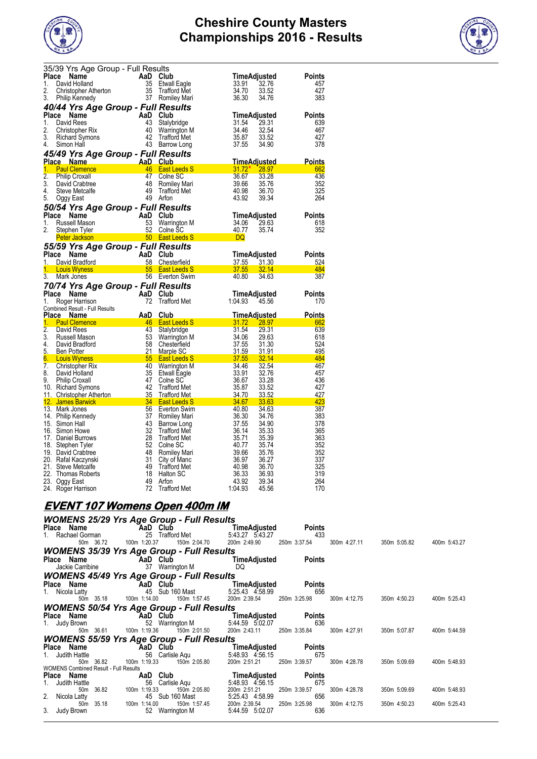



|                  | 35/39 Yrs Age Group - Full Results                                                                                                  |                       |                                     |                  |                              |               |
|------------------|-------------------------------------------------------------------------------------------------------------------------------------|-----------------------|-------------------------------------|------------------|------------------------------|---------------|
| Place            | Name                                                                                                                                | AaD Club              |                                     |                  | TimeAdjusted                 | Points        |
| 1.               | David Holland                                                                                                                       | 35                    | <b>Etwall Eagle</b>                 | 33.91            | 32.76                        | 457           |
| 2.               | Christopher Atherton                                                                                                                | 35                    | <b>Trafford Met</b>                 | 34.70            | 33.52                        | 427           |
| 3.               | Philip Kennedy                                                                                                                      |                       | 37 Romiley Mari                     | 36.30            | 34.76                        | 383           |
|                  | 40/44 Yrs Age Group - Full Results                                                                                                  |                       |                                     |                  |                              |               |
| Place            | Name                                                                                                                                | AaD                   | Club                                |                  | TimeAdjusted                 | Points        |
| 1.               | David Rees                                                                                                                          | 43                    | Stalybridge                         | 31.54            | 29.31                        | 639           |
| 2.               | Christopher Rix                                                                                                                     | 40                    | Warrington M                        | 34.46            | 32.54                        | 467           |
| 3.               | <b>Richard Symons</b>                                                                                                               | 42                    | <b>Trafford Met</b>                 | 35.87            | 33.52                        | 427           |
| 4.               | Simon Hall                                                                                                                          | 43                    | Barrow Long                         | 37.55            | 34.90                        | 378           |
|                  |                                                                                                                                     |                       |                                     |                  |                              |               |
|                  | 45/49 Yrs Age Group - Full Results<br>Place Name                                                                                    |                       |                                     |                  |                              | <b>Points</b> |
| 1.               | <b>Paul Clemence</b>                                                                                                                | <b>AaD</b> Club<br>46 | <b>East Leeds S</b>                 | $31.72*$         | <u>TimeAdjusted</u><br>28.97 | 662           |
| $\overline{2}$ . |                                                                                                                                     | 47                    |                                     | 36.67            |                              | 436           |
| 3.               | <b>Philip Croxall</b>                                                                                                               | 48                    | Colne SC                            | 39.66            | 33.28<br>35.76               | 352           |
| 4.               | David Crabtree<br>Steve Metcalfe                                                                                                    | 49                    | Romiley Mari                        | 40.98            | 36.70                        | 325           |
|                  |                                                                                                                                     | 49                    | <b>Trafford Met</b><br>Arfon        | 43.92            |                              | 264           |
| 5.               | Oggy East                                                                                                                           |                       |                                     |                  | 39.34                        |               |
|                  | 50/54 Yrs Age Group - Full Results                                                                                                  |                       |                                     |                  |                              |               |
| Place            | Name                                                                                                                                | AaD                   | Club                                |                  | TimeAdjusted                 | <b>Points</b> |
| 1.               | Russell Mason                                                                                                                       | 53                    | Warrington M                        | 34.06            | 29.63                        | 618           |
| 2.               | Stephen Tyler                                                                                                                       | 52                    | Colne SC                            | 40.77            | 35.74                        | 352           |
|                  | <b>Peter Jackson</b>                                                                                                                |                       | <b>Example 10 Sold East Leeds S</b> | DQ               |                              |               |
|                  | 55/59 Yrs Age Group - Full Results                                                                                                  |                       |                                     |                  |                              |               |
| Place            | Name                                                                                                                                | AaD                   | Club                                |                  | TimeAdjusted                 | Points        |
| 1.               | David Bradford                                                                                                                      | 58                    | Chesterfield                        | 37.55            | 31.30                        | 524           |
|                  |                                                                                                                                     |                       |                                     |                  |                              | 484           |
|                  |                                                                                                                                     |                       |                                     |                  |                              |               |
| 1.               | <b>Louis Wyness</b>                                                                                                                 | 55                    | <b>East Leeds S</b>                 | 37.55            | 32.14                        |               |
| 3.               | Mark Jones                                                                                                                          | 56                    | Everton Swim                        | 40.80            | 34.63                        | 387           |
|                  | 70/74 Yrs Age Group - Full Results                                                                                                  |                       |                                     |                  |                              |               |
| <b>Place</b>     | Name                                                                                                                                | AaD                   | Club                                |                  | TimeAdjusted                 | Points        |
| 1.               | Roger Harrison                                                                                                                      | 72                    | <b>Trafford Met</b>                 | 1:04.93          | 45.56                        | 170           |
|                  | Combined Result - Full Results                                                                                                      |                       |                                     |                  |                              |               |
| Place            | Name                                                                                                                                | AaD                   | Club                                |                  | TimeAdjusted                 | Points        |
| 1.               | <b>Paul Clemence</b>                                                                                                                | 46                    | <b>East Leeds S</b>                 | 31.72            | 28.97                        | 662           |
| 2.               | David Rees                                                                                                                          | 43                    | Stalybridge                         | 31.54            | 29.31                        | 639           |
| 3.               | Russell Mason                                                                                                                       | 53                    | Warrington M                        | 34.06            | 29.63                        | 618           |
| 4.               | David Bradford                                                                                                                      | 58                    | Chesterfield                        | 37.55            | 31.30                        | 524           |
| 5.               | <b>Ben Potter</b>                                                                                                                   | 21                    | Marple SC                           | 31.59            | 31.91                        | 495           |
| 6.               | <b>Louis Wyness</b>                                                                                                                 | 55                    | <b>East Leeds S</b>                 | 37.55            | 32.14                        | 484           |
| 7.               | Christopher Rix                                                                                                                     | 40                    | Warrington M                        | 34.46            | 32.54                        | 467           |
| 8.               | David Holland                                                                                                                       | 35                    | Etwall Eagle                        | 33.91            | 32.76                        | 457           |
| 9.               | <b>Philip Croxall</b>                                                                                                               | 47                    | Colne SC                            | 36.67            | 33.28                        | 436           |
|                  | 10. Richard Symons                                                                                                                  | 42                    | <b>Trafford Met</b>                 | 35.87            | 33.52                        | 427           |
|                  | 11. Christopher Atherton                                                                                                            | 35                    | <b>Trafford Met</b>                 | 34.70            | 33.52                        | 427           |
|                  | 12. James Barwick<br>and the state of the state of the state of the state of the state of the state of the state of the state of th | 34                    | <b>East Leeds S</b>                 | 34.67            | 33.63                        | 423           |
|                  | 13. Mark Jones                                                                                                                      | 56                    | Everton Swim                        | 40.80            | 34.63                        | 387           |
|                  | 14. Philip Kennedy                                                                                                                  | 37                    | Romiley Mari                        | 36.30            | 34.76                        | 383           |
|                  | 15. Simon Hall                                                                                                                      | 43                    | Barrow Long                         | 37.55            | 34.90                        | 378           |
|                  | 16. Simon Howe                                                                                                                      | 32                    | <b>Trafford Met</b>                 | 36.14            | 35.33                        | 365           |
|                  | 17. Daniel Burrows                                                                                                                  | 28                    | <b>Trafford Met</b>                 | 35.71            | 35.39                        | 363           |
|                  | 18. Stephen Tyler                                                                                                                   | 52                    | Colne SC                            | 40.77            | 35.74                        | 352           |
|                  | 19. David Crabtree                                                                                                                  | 48                    | Romiley Mari                        | 39.66            | 35.76                        | 352           |
|                  | 20. Rafal Kaczynski                                                                                                                 | 31                    | City of Manc                        | 36.97            | 36.27                        | 337           |
|                  | 21. Steve Metcalfe                                                                                                                  | 49                    | <b>Trafford Met</b>                 | 40.98            | 36.70                        | 325           |
|                  | 22. Thomas Roberts                                                                                                                  | 18                    | Halton SC                           | 36.33            | 36.93                        | 319           |
|                  | 23. Oggy East<br>24. Roger Harrison                                                                                                 | 49<br>72              | Arfon<br><b>Trafford Met</b>        | 43.92<br>1:04.93 | 39.34<br>45.56               | 264<br>170    |

## **EVENT 107 Womens Open 400m IM**

|                                              | <b>WOMENS 25/29 Yrs Age Group - Full Results</b> |                                                        |              |              |              |
|----------------------------------------------|--------------------------------------------------|--------------------------------------------------------|--------------|--------------|--------------|
| Place Name                                   | AaD Club                                         | TimeAdjusted<br>Points                                 |              |              |              |
| 1. Rachael Gorman                            | 25 Trafford Met                                  | 5:43.27 5:43.27<br>433                                 |              |              |              |
| 50m 36.72                                    | 150m 2:04.70<br>100m 1:20.37                     | 200m 2:49.90<br>250m 3:37.54                           | 300m 4:27.11 | 350m 5:05.82 | 400m 5:43.27 |
|                                              | <b>WOMENS 35/39 Yrs Age Group - Full Results</b> |                                                        |              |              |              |
| Place Name                                   | <b>AaD Club</b>                                  | TimeAdjusted<br><b>Points</b>                          |              |              |              |
| Jackie Carribine                             | 37 Warrington M                                  | DQ                                                     |              |              |              |
|                                              | <b>WOMENS 45/49 Yrs Age Group - Full Results</b> |                                                        |              |              |              |
| Place Name                                   | AaD Club                                         | TimeAdjusted<br>Points                                 |              |              |              |
| 1. Nicola Latty                              | 45 Sub 160 Mast                                  | 5:25.43 4.58.99<br>656                                 |              |              |              |
| 50m 35.18                                    | 100m 1:14.00<br>150m 1:57.45                     | 200m 2:39.54<br>250m 3:25.98                           | 300m 4:12.75 | 350m 4:50.23 | 400m 5:25.43 |
|                                              | <b>WOMENS 50/54 Yrs Age Group - Full Results</b> |                                                        |              |              |              |
| Place Name                                   | AaD Club                                         | TimeAdjusted<br>Points                                 |              |              |              |
| 1. Judy Brown                                | 52 Warrington M                                  | 5:44.59 5:02.07<br>636                                 |              |              |              |
| 50m 36.61                                    | 100m 1:19.36<br>150m 2:01.50                     | 200m 2:43.11<br>250m 3:35.84                           | 300m 4:27.91 | 350m 5:07.87 | 400m 5:44.59 |
|                                              | <b>WOMENS 55/59 Yrs Age Group - Full Results</b> |                                                        |              |              |              |
| Place Name                                   | AaD Club                                         | TimeAdjusted<br>Points                                 |              |              |              |
| 1. Judith Hattle                             | 56 Carlisle Aqu                                  | 5:48.93 4.56.15<br>675                                 |              |              |              |
| 50m 36.82                                    | 100m 1:19.33<br>150m 2:05.80                     | 200m 2:51.21<br>250m 3:39.57                           | 300m 4:28.78 | 350m 5:09.69 | 400m 5:48.93 |
| <b>WOMENS Combined Result - Full Results</b> |                                                  |                                                        |              |              |              |
| Place Name                                   | AaD Club                                         | TimeAdjusted<br><b>Points</b>                          |              |              |              |
| 1. Judith Hattle                             | 56<br>Carlisle Aqu                               | 5:48.93 4:56.15<br>675                                 |              |              |              |
| 50m 36.82<br>2. Nicola Latty                 | 100m 1:19.33<br>150m 2:05.80<br>45 Sub 160 Mast  | 200m 2:51.21<br>250m 3:39.57<br>5:25.43 4:58.99<br>656 | 300m 4:28.78 | 350m 5:09.69 | 400m 5:48.93 |
| 35.18<br>50 <sub>m</sub>                     | 150m 1:57.45<br>100m 1:14.00                     | 200m 2:39.54<br>250m 3:25.98                           | 300m 4:12.75 | 350m 4:50.23 | 400m 5:25.43 |
| 3. Judy Brown                                | 52 Warrington M                                  | 636<br>5:44.59 5:02.07                                 |              |              |              |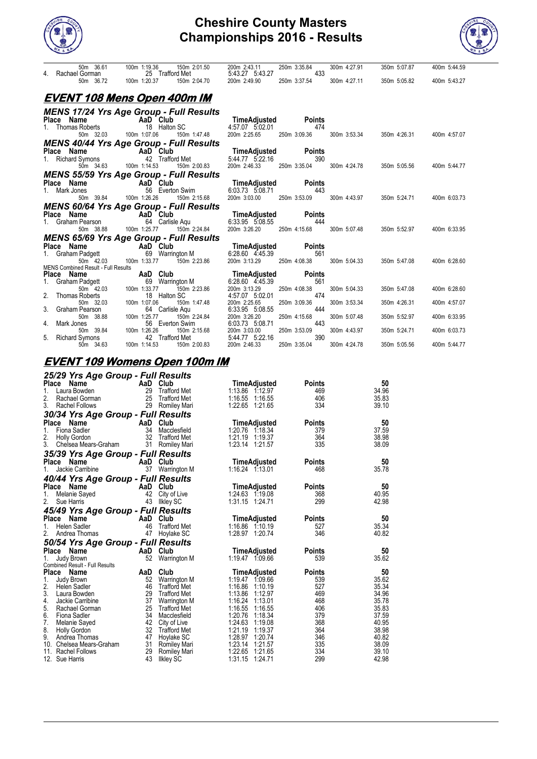



| 50m 36.61<br>4. Rachael Gorman                                       | 100m 1:19.36<br>150m 2:01.50<br>25 Trafford Met | 200m 2:43.11<br>5:43.27 5:43.27 | 250m 3:35.84<br>433 | 300m 4:27.91 | 350m 5:07.87              | 400m 5:44.59 |
|----------------------------------------------------------------------|-------------------------------------------------|---------------------------------|---------------------|--------------|---------------------------|--------------|
| 50m 36.72                                                            | 100m 1:20.37<br>150m 2:04.70                    | 200m 2:49.90                    | 250m 3:37.54        | 300m 4:27.11 | 350m 5:05.82              | 400m 5:43.27 |
|                                                                      | <u>EVENT 108 Mens Open 400m IM</u>              |                                 |                     |              |                           |              |
|                                                                      | <b>MENS 17/24 Yrs Age Group - Full Results</b>  |                                 |                     |              |                           |              |
|                                                                      |                                                 | <b>TimeAdjusted</b> Points      |                     |              |                           |              |
| <b>Place Name</b><br>1. Thomas Roberts<br>18 Halton                  | 18 Halton SC                                    | 4:57.07 5:02.01                 | 474                 |              |                           |              |
| 50m 32.03                                                            | 100m 1:07.06<br>150m 1:47.48                    | 200m 2:25.65                    | 250m 3:09.36        |              | 300m 3:53.34 350m 4:26.31 | 400m 4:57.07 |
|                                                                      | <b>MENS 40/44 Yrs Age Group - Full Results</b>  |                                 |                     |              |                           |              |
| <b>Prace Name</b><br>1. Richard Symons <b>AaD</b> Club<br>42 Traffor |                                                 | TimeAdjusted                    | Points              |              |                           |              |
|                                                                      | 42 Trafford Met                                 | 5:44.77 5:22.16                 | 390                 |              |                           |              |
| 50m 34.63                                                            | 100m 1:14.53<br>150m 2:00.83                    | 200m 2:46.33                    | 250m 3:35.04        | 300m 4:24.78 | 350m 5:05.56              | 400m 5:44.77 |
|                                                                      | <b>MENS 55/59 Yrs Age Group - Full Results</b>  |                                 |                     |              |                           |              |
| Place Name                                                           | AaD Club                                        | <b>TimeAdjusted</b>             | Points              |              |                           |              |
| 1. Mark Jones                                                        | 56 Everton Swim                                 | 6:03.73 5:08.71                 | 443                 |              |                           |              |
| 50m 39.84                                                            | 100m 1:26.26<br>150m 2:15.68                    | 200m 3:03.00                    | 250m 3:53.09        | 300m 4:43.97 | 350m 5:24.71              | 400m 6:03.73 |
|                                                                      | <b>MENS 60/64 Yrs Age Group - Full Results</b>  |                                 |                     |              |                           |              |
| Place Name                                                           | <b>Example 2</b> AaD Club                       | <b>TimeAdjusted</b>             | Points              |              |                           |              |
| 1. Graham Pearson                                                    | 64 Carlisle Aqu                                 | 6:33.95 5:08.55                 | 444                 |              |                           |              |
| 50m 38.88                                                            | 100m 1:25.77<br>150m 2:24.84                    | 200m 3:26.20                    | 250m 4:15.68        | 300m 5:07.48 | 350m 5:52.97              | 400m 6:33.95 |
|                                                                      | <b>MENS 65/69 Yrs Age Group - Full Results</b>  |                                 |                     |              |                           |              |
| Place Name                                                           | <b>Example 2</b> AaD Club                       | TimeAdjusted                    | <b>Points</b>       |              |                           |              |
| 1. Graham Padgett                                                    | 69 Warrington M                                 | 6:28.60 4.45.39                 | 561                 |              |                           |              |
| 50m 42.03                                                            | 100m 1:33.77 150m 2:23.86                       | 200m 3:13.29                    | 250m 4:08.38        | 300m 5:04.33 | 350m 5:47.08              | 400m 6:28.60 |
| <b>MENS Combined Result - Full Results</b>                           |                                                 |                                 |                     |              |                           |              |
| Place Name<br><b>Place Name</b><br>1. Graham Padgett<br>50m 42.03    | AaD Club                                        | <b>TimeAdjusted</b>             | Points              |              |                           |              |
|                                                                      | 69 Warrington M                                 | 6:28.60 4:45.39                 | 561                 |              |                           |              |
|                                                                      | 100m 1:33.77<br>150m 2:23.86                    | 200m 3:13.29                    | 250m 4:08.38<br>474 | 300m 5:04.33 | 350m 5:47.08              | 400m 6:28.60 |
| 2.<br><b>Thomas Roberts</b><br>50m 32.03                             | 18 Halton SC<br>100m 1:07.06                    | 4:57.07 5:02.01<br>200m 2:25.65 | 250m 3:09.36        | 300m 3:53.34 | 350m 4:26.31              | 400m 4:57.07 |
| 3. Graham Pearson                                                    | 150m 1:47.48<br>64 Carlisle Aqu                 | 6:33.95 5:08.55                 | 444                 |              |                           |              |
| 50m 38.88                                                            | 100m 1:25.77<br>150m 2:24.84                    | 200m 3:26.20                    | 250m 4:15.68        | 300m 5:07.48 | 350m 5:52.97              | 400m 6:33.95 |
| 4.<br>Mark Jones                                                     | 56 Everton Swim                                 | 6:03.73 5:08.71                 | 443                 |              |                           |              |
| 50m 39.84                                                            | 100m 1:26.26                                    | 200m 3:03.00                    | 250m 3:53.09        | 300m 4:43.97 | 350m 5:24.71              | 400m 6:03.73 |
| 5. Richard Symons                                                    | 150m 2:15.68<br>rd Met<br>42 Trafford Met       | 5:44.77 5:22.16                 | 390                 |              |                           |              |
| 50m 34.63                                                            | 100m 1:14.53<br>150m 2:00.83                    | 200m 2:46.33                    | 250m 3:35.04        | 300m 4:24.78 | 350m 5:05.56              | 400m 5:44.77 |
|                                                                      |                                                 |                                 |                     |              |                           |              |

#### **EVENT 109 Womens Open 100m IM** *25/29 Yrs Age Group - Full Results* **Place Name Came AaD Club Club TimeAdjusted Points 50**<br>1. Laura Bowden 29 Trafford Met 1:13.86 1:12.97 469 34.96 1. Laura Bowden 29 Trafford Met 1:13.86 1:12.97 469 34.96 2. Rachael Gorman 25 Trafford Met 1:16.55 1:16.55 406 35.83 3. Rachel Follows 29 Romiley Mari 1:22.65 1:21.65 334 39.10 *30/34 Yrs Age Group - Full Results* **Place Name Community AaD Club TimeAdjusted Points 50**<br>1. Fiona Sadler 34 Macclesfield 1:20.76 1:18.34 379 37.59 1. Fiona Sadler 34 Macclesfield 1:20.76 1:18.34 379 37.59 2. Holly Gordon 32 Trafford Met 1:21.19 1:19.37 364 38.98 3. Chelsea Mears-Graham 31 Romiley Mari 1:23.14 1:21.57 335 38.09 *35/39 Yrs Age Group - Full Results* **Place Name The Add Club 1:16.24 1:16.24 1:16.01 Points 50**<br>1. Jackie Carribine 37 Warrington M 1:16.24 1:13.01 468 35.78 *40/44 Yrs Age Group - Full Results* **Place Name Aand AaD Club 1.1 TimeAdjusted Points 50**<br>1. Melanie Sayed 42 City of Live 1:24.63 1:19.08 368 40.95 2. Sue Harris 43 Ilkley SC 1:31.15 1:24.71 299 42.98 *45/49 Yrs Age Group - Full Results* **Place Name Case 2 Contract AaD Club Club TimeAdjusted Points 50<br>
Helen Sadler 46 Trafford Met 1:16.86 1:10.19 527 35.34** 1. Helen Sadler 46 Trafford Met 1:16.86 1:10.19 527 35.34 2. Andrea Thomas 47 Hoylake SC 1:28.97 1:20.74 346 40.82 *50/54 Yrs Age Group - Full Results* Place Name **AaD Club TimeAdjusted Points 50** 1. Judy Brown 52 Warrington M 1:19.47 1:09.66 539 35.62 Combined Result - Full Results<br>Place Name **Place Name AaD Club TimeAdjusted Points 50** 1. Judy Brown 52 Warrington M 1:19.47 1:09.66 539 35.62 2. Helen Sadler 46 Trafford Met 1:16.86 1:10.19 527 35.34 3. Laura Bowden 29 Trafford Met 1:13.86 1:12.97 469 34.96 4. Jackie Carribine 37 Warrington M 1:16.24 1:13.01 468 35.78 4. Jackie Garmona and Strain and Strain and Strain and Strain and Strain and Strain and Strain and Strain and Strain and Strain and Strain and Strain and Strain and Strain and Strain and Strain and Strain and Strain and St 6. Fiona Sadler 34 Macclesfield 1:20.76 1:18.34 379 37.59 7. Melanie Sayed 42 City of Live 1:24.63 1:19.08 368 40.95 8. Holly Gordon 32 Trafford Met 1:21.19 1:19.37 364 38.98 9. Andrea Thomas 47 Hoylake SC 1:28.97 1:20.74 346 40.82 10. Chelsea Mears-Graham 31 Romiley Mari 1:23.14 1:21.57 335 38.09 11. Rachel Follows 29 Romiley Mari 1:22.65 1:21.65 334 39.10<br>12. Sue Harris 20 39.10 43 Ilkley SC 39.11.15 1:24.71 299 42.98 1:31.15 1:24.71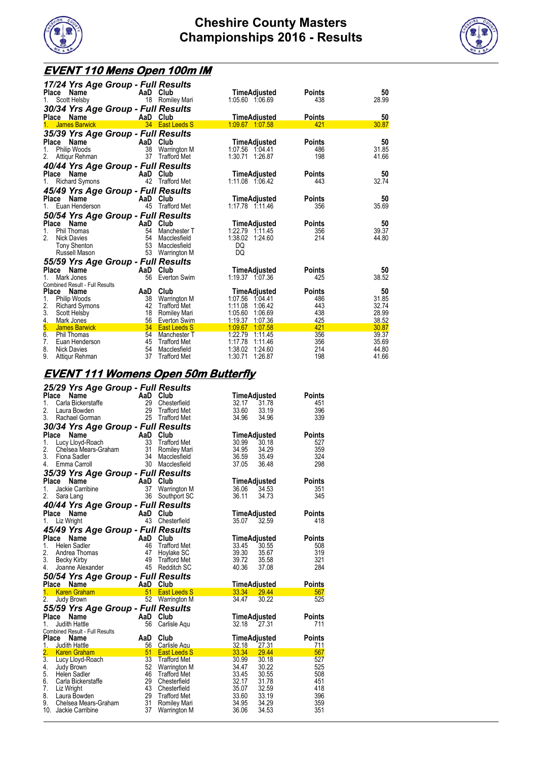



# **EVENT 110 Mens Open 100m IM**

| 17/24 Yrs Age Group - Full Results                                 |                                     |                                          |                      |                |
|--------------------------------------------------------------------|-------------------------------------|------------------------------------------|----------------------|----------------|
| Place<br>Name<br>1.<br>Scott Helsby                                | AaD Club<br>18 Romiley Mari         | TimeAdjusted<br>1:05.60 1:06.69          | <b>Points</b><br>438 | 50<br>28.99    |
|                                                                    |                                     |                                          |                      |                |
| 30/34 Yrs Age Group - Full Results<br>Place Name                   | AaD Club                            | TimeAdjusted                             | <b>Points</b>        | 50             |
| <b>James Barwick</b><br>1.                                         | 34 East Leeds S                     | 1:09.67 1:07.58                          | 421                  | 30.87          |
|                                                                    |                                     |                                          |                      |                |
| 35/39 Yrs Age Group - Full Results<br>AaD<br>Place<br>Name         | Club                                | <b>TimeAdjusted</b>                      | <b>Points</b>        | 50             |
| Philip Woods<br>38<br>1.                                           | Warrington M                        | 1:07.56 1:04.41                          | 486                  | 31.85          |
| 37<br>Attiqur Rehman                                               | <b>Trafford Met</b>                 | 1:30.71<br>1:26.87                       | 198                  | 41.66          |
|                                                                    |                                     |                                          |                      |                |
| 40/44 Yrs Age Group - Full Results<br>AaD                          | Club                                |                                          |                      |                |
| Place<br>Name                                                      |                                     | TimeAdjusted                             | <b>Points</b>        | 50             |
| <b>Richard Symons</b><br>1.                                        | 42 Trafford Met                     | 1:11.08 1:06.42                          | 443                  | 32.74          |
| 45/49 Yrs Age Group - Full Results                                 |                                     |                                          |                      |                |
| AaD<br>Place<br>Name                                               | Club                                | TimeAdjusted                             | <b>Points</b>        | 50             |
| Euan Henderson<br>45                                               | <b>Trafford Met</b>                 | 1.17.78 1.11.46                          | 356                  | 35.69          |
| 50/54 Yrs Age Group - Full Results                                 |                                     |                                          |                      |                |
| Place Name                                                         | AaD Club                            | <b>TimeAdjusted</b>                      | <b>Points</b>        | 50             |
| <b>Phil Thomas</b><br>1.<br>54                                     | Manchester T                        | 1:22.79 1:11.45                          | 356                  | 39.37          |
| 2.<br>54<br><b>Nick Davies</b>                                     | Macclesfield                        | 1:38.02 1:24.60                          | 214                  | 44.80          |
| 53<br><b>Tony Shenton</b>                                          | Macclesfield                        | DQ                                       |                      |                |
| 53<br>Russell Mason                                                | Warrington M                        | DQ                                       |                      |                |
| 55/59 Yrs Age Group - Full Results                                 |                                     |                                          |                      |                |
| Name<br>AaD<br>Place                                               | Club                                | TimeAdjusted                             | <b>Points</b>        | 50             |
| Mark Jones<br>56                                                   | Everton Swim                        | 1:19.37 1:07.36                          | 425                  | 38.52          |
| <b>Combined Result - Full Results</b>                              |                                     |                                          |                      |                |
| Place<br>AaD<br>Name                                               | Club                                | TimeAdjusted                             | <b>Points</b>        | 50             |
| 38<br>1.<br><b>Philip Woods</b>                                    | Warrington M                        | 1:07.56<br>1:04.41                       | 486                  | 31.85          |
| 2.<br>42<br><b>Richard Symons</b>                                  | <b>Trafford Met</b>                 | 1:11.08<br>1:06.42                       | 443                  | 32.74          |
| 3.<br>18<br>Scott Helsby                                           | Romiley Mari                        | 1:05.60<br>1:06.69                       | 438                  | 28.99          |
| 4.<br>56<br>Mark Jones                                             | Everton Swim                        | 1:19.37<br>1:07.36                       | 425                  | 38.52          |
| 5.<br>34<br><b>James Barwick</b><br>6.<br>54<br><b>Phil Thomas</b> | <b>East Leeds S</b>                 | 1:09.67<br>1:07.58<br>1:22.79<br>1:11.45 | 421<br>356           | 30.87<br>39.37 |
| 7.<br>45<br>Euan Henderson                                         | Manchester T<br><b>Trafford Met</b> | 1:17.78<br>1:11.46                       | 356                  | 35.69          |
| 8.<br>54<br><b>Nick Davies</b>                                     | Macclesfield                        | 1:38.02<br>1:24.60                       | 214                  | 44.80          |
| 9.<br>37<br>Attigur Rehman                                         | <b>Trafford Met</b>                 | 1:30.71<br>1:26.87                       | 198                  | 41.66          |

#### **EVENT 111 Womens Open 50m Butterfly**

|          |                                                                                                  |                                                                                                                                                                                                                                                                                                                                                                                                                                                                                                                                                                                                                                                                                                       |                                                                                                                                     | <b>Points</b>                                                                                                                                                                                                                                                     |
|----------|--------------------------------------------------------------------------------------------------|-------------------------------------------------------------------------------------------------------------------------------------------------------------------------------------------------------------------------------------------------------------------------------------------------------------------------------------------------------------------------------------------------------------------------------------------------------------------------------------------------------------------------------------------------------------------------------------------------------------------------------------------------------------------------------------------------------|-------------------------------------------------------------------------------------------------------------------------------------|-------------------------------------------------------------------------------------------------------------------------------------------------------------------------------------------------------------------------------------------------------------------|
| 29       | Chesterfield                                                                                     | 32.17                                                                                                                                                                                                                                                                                                                                                                                                                                                                                                                                                                                                                                                                                                 | 31.78                                                                                                                               | 451                                                                                                                                                                                                                                                               |
|          |                                                                                                  |                                                                                                                                                                                                                                                                                                                                                                                                                                                                                                                                                                                                                                                                                                       |                                                                                                                                     | 396                                                                                                                                                                                                                                                               |
|          |                                                                                                  |                                                                                                                                                                                                                                                                                                                                                                                                                                                                                                                                                                                                                                                                                                       |                                                                                                                                     | 339                                                                                                                                                                                                                                                               |
|          |                                                                                                  |                                                                                                                                                                                                                                                                                                                                                                                                                                                                                                                                                                                                                                                                                                       |                                                                                                                                     |                                                                                                                                                                                                                                                                   |
| AaD      | Club                                                                                             |                                                                                                                                                                                                                                                                                                                                                                                                                                                                                                                                                                                                                                                                                                       |                                                                                                                                     | <b>Points</b>                                                                                                                                                                                                                                                     |
| 33       |                                                                                                  | 30.99                                                                                                                                                                                                                                                                                                                                                                                                                                                                                                                                                                                                                                                                                                 | 30.18                                                                                                                               | 527                                                                                                                                                                                                                                                               |
| 31       |                                                                                                  | 34.95                                                                                                                                                                                                                                                                                                                                                                                                                                                                                                                                                                                                                                                                                                 | 34.29                                                                                                                               | 359                                                                                                                                                                                                                                                               |
| -34      | Macclesfield                                                                                     | 36.59                                                                                                                                                                                                                                                                                                                                                                                                                                                                                                                                                                                                                                                                                                 | 35.49                                                                                                                               | 324                                                                                                                                                                                                                                                               |
|          |                                                                                                  |                                                                                                                                                                                                                                                                                                                                                                                                                                                                                                                                                                                                                                                                                                       |                                                                                                                                     | 298                                                                                                                                                                                                                                                               |
|          |                                                                                                  |                                                                                                                                                                                                                                                                                                                                                                                                                                                                                                                                                                                                                                                                                                       |                                                                                                                                     |                                                                                                                                                                                                                                                                   |
|          |                                                                                                  |                                                                                                                                                                                                                                                                                                                                                                                                                                                                                                                                                                                                                                                                                                       |                                                                                                                                     | <b>Points</b>                                                                                                                                                                                                                                                     |
| 37       | <b>Warrington M</b>                                                                              | 36.06                                                                                                                                                                                                                                                                                                                                                                                                                                                                                                                                                                                                                                                                                                 | 34.53                                                                                                                               | 351                                                                                                                                                                                                                                                               |
| 36       |                                                                                                  |                                                                                                                                                                                                                                                                                                                                                                                                                                                                                                                                                                                                                                                                                                       | 34.73                                                                                                                               | 345                                                                                                                                                                                                                                                               |
|          |                                                                                                  |                                                                                                                                                                                                                                                                                                                                                                                                                                                                                                                                                                                                                                                                                                       |                                                                                                                                     |                                                                                                                                                                                                                                                                   |
|          |                                                                                                  |                                                                                                                                                                                                                                                                                                                                                                                                                                                                                                                                                                                                                                                                                                       |                                                                                                                                     | Points                                                                                                                                                                                                                                                            |
|          |                                                                                                  |                                                                                                                                                                                                                                                                                                                                                                                                                                                                                                                                                                                                                                                                                                       |                                                                                                                                     | 418                                                                                                                                                                                                                                                               |
|          |                                                                                                  |                                                                                                                                                                                                                                                                                                                                                                                                                                                                                                                                                                                                                                                                                                       |                                                                                                                                     |                                                                                                                                                                                                                                                                   |
|          |                                                                                                  |                                                                                                                                                                                                                                                                                                                                                                                                                                                                                                                                                                                                                                                                                                       |                                                                                                                                     | <b>Points</b>                                                                                                                                                                                                                                                     |
|          |                                                                                                  |                                                                                                                                                                                                                                                                                                                                                                                                                                                                                                                                                                                                                                                                                                       |                                                                                                                                     | 508                                                                                                                                                                                                                                                               |
|          |                                                                                                  |                                                                                                                                                                                                                                                                                                                                                                                                                                                                                                                                                                                                                                                                                                       |                                                                                                                                     | 319                                                                                                                                                                                                                                                               |
|          |                                                                                                  |                                                                                                                                                                                                                                                                                                                                                                                                                                                                                                                                                                                                                                                                                                       |                                                                                                                                     | 321                                                                                                                                                                                                                                                               |
|          |                                                                                                  |                                                                                                                                                                                                                                                                                                                                                                                                                                                                                                                                                                                                                                                                                                       |                                                                                                                                     | 284                                                                                                                                                                                                                                                               |
|          |                                                                                                  |                                                                                                                                                                                                                                                                                                                                                                                                                                                                                                                                                                                                                                                                                                       |                                                                                                                                     |                                                                                                                                                                                                                                                                   |
|          |                                                                                                  |                                                                                                                                                                                                                                                                                                                                                                                                                                                                                                                                                                                                                                                                                                       |                                                                                                                                     | Points                                                                                                                                                                                                                                                            |
|          |                                                                                                  |                                                                                                                                                                                                                                                                                                                                                                                                                                                                                                                                                                                                                                                                                                       |                                                                                                                                     | 567                                                                                                                                                                                                                                                               |
|          |                                                                                                  |                                                                                                                                                                                                                                                                                                                                                                                                                                                                                                                                                                                                                                                                                                       |                                                                                                                                     | 525                                                                                                                                                                                                                                                               |
|          |                                                                                                  |                                                                                                                                                                                                                                                                                                                                                                                                                                                                                                                                                                                                                                                                                                       |                                                                                                                                     |                                                                                                                                                                                                                                                                   |
|          |                                                                                                  |                                                                                                                                                                                                                                                                                                                                                                                                                                                                                                                                                                                                                                                                                                       |                                                                                                                                     |                                                                                                                                                                                                                                                                   |
|          |                                                                                                  |                                                                                                                                                                                                                                                                                                                                                                                                                                                                                                                                                                                                                                                                                                       |                                                                                                                                     | <b>Points</b>                                                                                                                                                                                                                                                     |
|          |                                                                                                  |                                                                                                                                                                                                                                                                                                                                                                                                                                                                                                                                                                                                                                                                                                       |                                                                                                                                     | 711                                                                                                                                                                                                                                                               |
|          |                                                                                                  |                                                                                                                                                                                                                                                                                                                                                                                                                                                                                                                                                                                                                                                                                                       |                                                                                                                                     | <b>Points</b>                                                                                                                                                                                                                                                     |
|          |                                                                                                  |                                                                                                                                                                                                                                                                                                                                                                                                                                                                                                                                                                                                                                                                                                       |                                                                                                                                     | 711                                                                                                                                                                                                                                                               |
|          |                                                                                                  |                                                                                                                                                                                                                                                                                                                                                                                                                                                                                                                                                                                                                                                                                                       |                                                                                                                                     | 567                                                                                                                                                                                                                                                               |
|          |                                                                                                  |                                                                                                                                                                                                                                                                                                                                                                                                                                                                                                                                                                                                                                                                                                       |                                                                                                                                     | 527                                                                                                                                                                                                                                                               |
| 52       |                                                                                                  | 34.47                                                                                                                                                                                                                                                                                                                                                                                                                                                                                                                                                                                                                                                                                                 | 30.22                                                                                                                               | 525                                                                                                                                                                                                                                                               |
|          |                                                                                                  | 33.45                                                                                                                                                                                                                                                                                                                                                                                                                                                                                                                                                                                                                                                                                                 |                                                                                                                                     | 508                                                                                                                                                                                                                                                               |
| 46       | Trafford Met                                                                                     |                                                                                                                                                                                                                                                                                                                                                                                                                                                                                                                                                                                                                                                                                                       | 30.55                                                                                                                               |                                                                                                                                                                                                                                                                   |
| 29       | Chesterfield                                                                                     | 32.17                                                                                                                                                                                                                                                                                                                                                                                                                                                                                                                                                                                                                                                                                                 | 31.78                                                                                                                               | 451                                                                                                                                                                                                                                                               |
| 43       | Chesterfield                                                                                     | 35.07                                                                                                                                                                                                                                                                                                                                                                                                                                                                                                                                                                                                                                                                                                 | 32.59                                                                                                                               | 418                                                                                                                                                                                                                                                               |
| 29       | Trafford Met                                                                                     | 33.60                                                                                                                                                                                                                                                                                                                                                                                                                                                                                                                                                                                                                                                                                                 | 33.19                                                                                                                               | 396                                                                                                                                                                                                                                                               |
| 31<br>37 | Romiley Mari<br>Warrington M                                                                     | 34.95<br>36.06                                                                                                                                                                                                                                                                                                                                                                                                                                                                                                                                                                                                                                                                                        | 34.29<br>34.53                                                                                                                      | 359<br>351                                                                                                                                                                                                                                                        |
|          | 29<br>25<br>30<br>AaD<br>46<br>47<br>49<br>AaD<br>51<br>52<br>AaD<br>56<br>AaD<br>56<br>51<br>33 | 25/29 Yrs Age Group - Full Results<br>AaD Club<br><b>Trafford Met</b><br>Trafford Met<br>30/34 Yrs Age Group - Full Results<br><b>Trafford Met</b><br>Romiley Mari<br>Macclesfield<br>35/39 Yrs Age Group - Full Results<br>AaD Club<br>Southport SC<br>40/44 Yrs Age Group - Full Results<br>AaD Club<br>43 Chesterfield<br>45/49 Yrs Age Group - Full Results<br>Club<br><b>Trafford Met</b><br>Hoylake SC<br><b>Trafford Met</b><br>45 Redditch SC<br>50/54 Yrs Age Group - Full Results<br>Club<br><b>East Leeds S</b><br><b>Warrington M</b><br>55/59 Yrs Age Group - Full Results<br>Club<br>Carlisle Aqu<br>Club<br>Carlisle Agu<br><b>East Leeds S</b><br><b>Trafford Met</b><br>Warrington M | 33.60<br>34.96<br>37.05<br>36.11<br>35.07<br>33.45<br>39.30<br>39.72<br>40.36<br>33.34<br>34.47<br>32.18<br>32.18<br>33.34<br>30.99 | TimeAdjusted<br>33.19<br>34.96<br>TimeAdjusted<br>36.48<br>TimeAdjusted<br>TimeAdjusted<br>32.59<br>TimeAdjusted<br>30.55<br>35.67<br>35.58<br>37.08<br><b>TimeAdiusted</b><br>29.44<br>30.22<br>TimeAdjusted<br>27.31<br>TimeAdjusted<br>27.31<br>29.44<br>30.18 |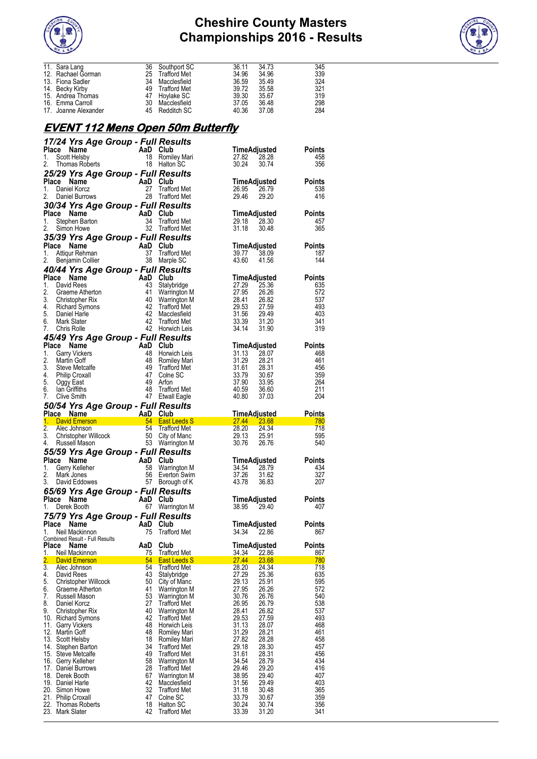



| 11. Sara Lang        |    |              | 36.11                                                                                                    | 34.73 | 345 |
|----------------------|----|--------------|----------------------------------------------------------------------------------------------------------|-------|-----|
| 12. Rachael Gorman   |    |              | 34.96                                                                                                    | 34.96 | 339 |
| 13. Fiona Sadler     | 34 | Macclesfield | 36.59                                                                                                    | 35.49 | 324 |
| 14. Becky Kirby      |    |              | 39.72                                                                                                    | 35.58 | 321 |
| 15. Andrea Thomas    |    |              | 39.30                                                                                                    | 35.67 | 319 |
| 16. Emma Carroll     |    |              | 37.05                                                                                                    | 36.48 | 298 |
| 17. Joanne Alexander |    |              | 40.36                                                                                                    | 37.08 | 284 |
|                      |    |              | Southport SC<br>25 Trafford Met<br>49 Trafford Met<br>47 Hoylake SC<br>30 Macclesfield<br>45 Redditch SC |       |     |

### **EVENT 112 Mens Open 50m Butterfly**

|                           |                                        | 17/24 Yrs Age Group - Full Results                                                                                                                                                                                   |                                            |                     |                       |                      |
|---------------------------|----------------------------------------|----------------------------------------------------------------------------------------------------------------------------------------------------------------------------------------------------------------------|--------------------------------------------|---------------------|-----------------------|----------------------|
| Place                     | Name                                   | <b>AaD Club</b><br>18 Romil<br>18 Halton                                                                                                                                                                             |                                            | <b>TimeAdjusted</b> |                       | Points               |
| 1.<br>2.                  | Scott Helsby                           |                                                                                                                                                                                                                      | Romiley Mari<br>18 Halton SC               | 27.82<br>30.24      | 28.28                 | 458<br>356           |
|                           | Thomas Roberts                         |                                                                                                                                                                                                                      |                                            |                     | 30.74                 |                      |
| Place                     | Name                                   | 25/29 Yrs Age Group - Full Results                                                                                                                                                                                   |                                            | TimeAdjusted        |                       | <b>Points</b>        |
| 1.                        | Daniel Korcz                           | $\begin{array}{cc}\n\text{AaD} & \text{Club} \\ \text{27} & \text{Traffo} \\ \text{3} & \text{28} & \text{Traffo}\n\end{array}$                                                                                      | <b>Trafford Met</b>                        | 26.95               | 26.79                 | 538                  |
| 2.                        | Daniel Burrows                         |                                                                                                                                                                                                                      | 28 Trafford Met                            | 29.46               | 29.20                 | 416                  |
|                           |                                        | 30/34 Yrs Age Group - Full Results                                                                                                                                                                                   |                                            |                     |                       |                      |
| Place Name                |                                        | <b>Comparison Stephen Barton</b><br>Stephen Barton<br>Simon Howe 32 Traffo                                                                                                                                           |                                            | <b>TimeAdjusted</b> |                       | <b>Points</b>        |
| 1.                        |                                        |                                                                                                                                                                                                                      | 34 Trafford Met                            | 29.18               | 28.30                 | 457                  |
| 2.                        |                                        |                                                                                                                                                                                                                      | 32 Trafford Met                            | 31.18               | 30.48                 | 365                  |
|                           |                                        | 35/39 Yrs Age Group - Full Results                                                                                                                                                                                   |                                            |                     |                       |                      |
| Place Name<br>1.          |                                        | Comment of the Manusov Community Central City<br>Attiqur Rehman 37 Trafford Met<br>Benjamin Collier 38 Marple SC                                                                                                     |                                            | 39.77               | TimeAdjusted<br>38.09 | <b>Points</b><br>187 |
| 2.                        |                                        |                                                                                                                                                                                                                      |                                            | 43.60               | 41.56                 | 144                  |
|                           |                                        | 40/44 Yrs Age Group - Full Results                                                                                                                                                                                   |                                            |                     |                       |                      |
| Place Name                |                                        | For Cup<br>And Club<br>41 Warrin<br>41 Warrin<br>42 Marrin<br>42 Macd<br>42 Traffo<br>42 Horwin<br>42 Horwin<br>20 Macd<br>42 Horwin<br>20 Macd<br>42 Horwin<br>42 Horston<br>42 Horston<br>42 Horston<br>42 Horston |                                            |                     | TimeAdjusted          | <b>Points</b>        |
| 1.                        | David Rees                             |                                                                                                                                                                                                                      | Stalybridge                                | 27.29               | 25.36                 | 635                  |
| 2.                        | Graeme Atherton                        |                                                                                                                                                                                                                      | Warrington M                               | 27.95               | 26.26                 | 572                  |
|                           | 3. Christopher Rix                     |                                                                                                                                                                                                                      | Warrington M                               | 28.41               | 26.82                 | 537                  |
| 5. Daniel Harle           | 4. Richard Symons                      |                                                                                                                                                                                                                      | <b>Trafford Met</b><br>Macclesfield        | 29.53<br>31.56      | 27.59<br>29.49        | 493<br>403           |
| 6.                        | Mark Slater                            |                                                                                                                                                                                                                      | Trafford Met                               | 33.39               | 31.20                 | 341                  |
| 7.                        | Chris Rolle                            |                                                                                                                                                                                                                      | 42 Horwich Leis                            | 34.14               | 31.90                 | 319                  |
|                           |                                        | 45/49 Yrs Age Group - Full Results                                                                                                                                                                                   |                                            |                     |                       |                      |
| Place Name                |                                        | AaD<br>AaD<br>48<br>48<br>48<br>49<br>47<br>49<br>48<br>47                                                                                                                                                           | Club                                       |                     | TimeAdjusted          | <b>Points</b>        |
| 1.                        | <b>Garry Vickers</b>                   |                                                                                                                                                                                                                      | 48 Horwich Leis                            | 31.13               | 28.07                 | 468                  |
| 2.<br>3.                  | Martin Goff<br>Steve Metcalfe          |                                                                                                                                                                                                                      | Romiley Mari<br><b>Trafford Met</b>        | 31.29<br>31.61      | 28.21<br>28.31        | 461<br>456           |
| 4. Philip Croxall         |                                        |                                                                                                                                                                                                                      | Colne SC                                   | 33.79               | 30.67                 | 359                  |
| 5. Oggy East              |                                        |                                                                                                                                                                                                                      | Arfon                                      | 37.90               | 33.95                 | 264                  |
| 6.                        | lan Griffiths                          |                                                                                                                                                                                                                      | Trafford Met                               | 40.59               | 36.60                 | 211                  |
| 7.                        | Clive Smith                            |                                                                                                                                                                                                                      | 47 Etwall Eagle                            | 40.80               | 37.03                 | 204                  |
|                           |                                        | 50/54 Yrs Age Group - Full Results                                                                                                                                                                                   |                                            |                     |                       |                      |
| Place Name                |                                        | <b>AaD</b> Club                                                                                                                                                                                                      |                                            | <b>TimeAdjusted</b> | <b>Points</b>         | -780                 |
|                           |                                        |                                                                                                                                                                                                                      |                                            |                     |                       |                      |
| 1.                        |                                        | David Emerson<br>David Emerson<br>24 Fast Leeds S                                                                                                                                                                    |                                            |                     |                       |                      |
| 2.<br>3.                  |                                        |                                                                                                                                                                                                                      | TimeAdjusted<br>27.44 23.68<br>28.20 24.34 | 29.13               | 25.91                 | 718<br>595           |
| 4.                        |                                        |                                                                                                                                                                                                                      |                                            | 30.76               | 26.76                 | 540                  |
|                           |                                        | Alec Johnson<br>Christopher Willcock<br>Russell Mason<br>Russell Mason<br>53 Warrington M<br>55/59 Yrs Age Group - Full Results                                                                                      |                                            |                     |                       |                      |
| Place Name                |                                        |                                                                                                                                                                                                                      |                                            |                     | TimeAdjusted          | <b>Points</b>        |
| 1.                        | Gerry Kelleher                         |                                                                                                                                                                                                                      | Warrington M                               | 34.54               | 28.79                 | 434                  |
| 2.                        | Mark Jones                             |                                                                                                                                                                                                                      | Everton Swim                               | 37.26               | 31.62                 | 327                  |
| 3.                        | David Eddowes                          | AaD Club<br>AaD Club<br>58 Warrir<br>56 Evertd<br>57 Borou<br>57                                                                                                                                                     | Borough of K                               | 43.78               | 36.83                 | 207                  |
|                           |                                        | 65/69 Yrs Age Group - Full Results                                                                                                                                                                                   |                                            |                     |                       |                      |
| Place Name<br>1.          | Derek Booth                            | AaD Club                                                                                                                                                                                                             | 67 Warrington M                            | 38.95               | TimeAdjusted<br>29.40 | <b>Points</b><br>407 |
|                           |                                        |                                                                                                                                                                                                                      |                                            |                     |                       |                      |
|                           |                                        |                                                                                                                                                                                                                      |                                            |                     | TimeAdjusted          | <b>Points</b>        |
| 1.                        | Neil Mackinnon                         | <b>75/79 Yrs Age Group - Full Results<br/>Place Name AaD Club<br/>1. Neil Mackinnon 1. Trafford Met</b><br>75                                                                                                        | Trafford Met                               | 34.34               | 22.86                 | 867                  |
|                           | Combined Result - Full Results         |                                                                                                                                                                                                                      |                                            |                     |                       |                      |
| <b>Place</b>              | Name                                   | AaD                                                                                                                                                                                                                  | Club                                       | TimeAdjusted        |                       | <b>Points</b>        |
| 1.<br>2.                  | Neil Mackinnon<br><b>David Emerson</b> | 75<br>54                                                                                                                                                                                                             | <b>Trafford Met</b><br><b>East Leeds S</b> | 34.34<br>27.44      | <u>22.86</u><br>23.68 | 867<br>780           |
| 3.                        | Alec Johnson                           | 54                                                                                                                                                                                                                   | Trafford Met                               | 28.20               | 24.34                 | 718                  |
| 4.                        | David Rees                             | 43                                                                                                                                                                                                                   | Stalybridge                                | 27.29               | 25.36                 | 635                  |
| 5.                        | Christopher Willcock                   | 50                                                                                                                                                                                                                   | City of Manc                               | 29.13               | 25.91                 | 595                  |
| 6.<br>7.                  | Graeme Atherton<br>Russell Mason       | 41<br>53                                                                                                                                                                                                             | Warrington M<br>Warrington M               | 27.95<br>30.76      | 26.26<br>26.76        | 572<br>540           |
| 8.                        | Daniel Korcz                           | 27                                                                                                                                                                                                                   | <b>Trafford Met</b>                        | 26.95               | 26.79                 | 538                  |
| 9.                        | Christopher Rix                        | 40                                                                                                                                                                                                                   | Warrington M                               | 28.41               | 26.82                 | 537                  |
|                           | 10. Richard Symons                     | 42                                                                                                                                                                                                                   | Trafford Met                               | 29.53               | 27.59                 | 493                  |
| 11.<br>12. Martin Goff    | <b>Garry Vickers</b>                   | 48<br>48                                                                                                                                                                                                             | Horwich Leis<br>Romiley Mari               | 31.13<br>31.29      | 28.07<br>28.21        | 468<br>461           |
| 13. Scott Helsby          |                                        | 18                                                                                                                                                                                                                   | Romiley Mari                               | 27.82               | 28.28                 | 458                  |
|                           | 14. Stephen Barton                     | 34                                                                                                                                                                                                                   | <b>Trafford Met</b>                        | 29.18               | 28.30                 | 457                  |
|                           | 15. Steve Metcalfe                     | 49                                                                                                                                                                                                                   | <b>Trafford Met</b>                        | 31.61               | 28.31                 | 456                  |
| 17.                       | 16. Gerry Kelleher<br>Daniel Burrows   | 58<br>28                                                                                                                                                                                                             | Warrington M<br><b>Trafford Met</b>        | 34.54<br>29.46      | 28.79<br>29.20        | 434<br>416           |
| 18. Derek Booth           |                                        | 67                                                                                                                                                                                                                   | Warrington M                               | 38.95               | 29.40                 | 407                  |
| 19. Daniel Harle          |                                        | 42                                                                                                                                                                                                                   | Macclesfield                               | 31.56               | 29.49                 | 403                  |
| 20. Simon Howe            |                                        | 32                                                                                                                                                                                                                   | Trafford Met                               | 31.18               | 30.48                 | 365                  |
| 21. Philip Croxall<br>22. | Thomas Roberts                         | 47<br>18                                                                                                                                                                                                             | Colne SC<br><b>Halton SC</b>               | 33.79               | 30.67                 | 359                  |
| 23. Mark Slater           |                                        | 42                                                                                                                                                                                                                   | Trafford Met                               | 30.24<br>33.39      | 30.74<br>31.20        | 356<br>341           |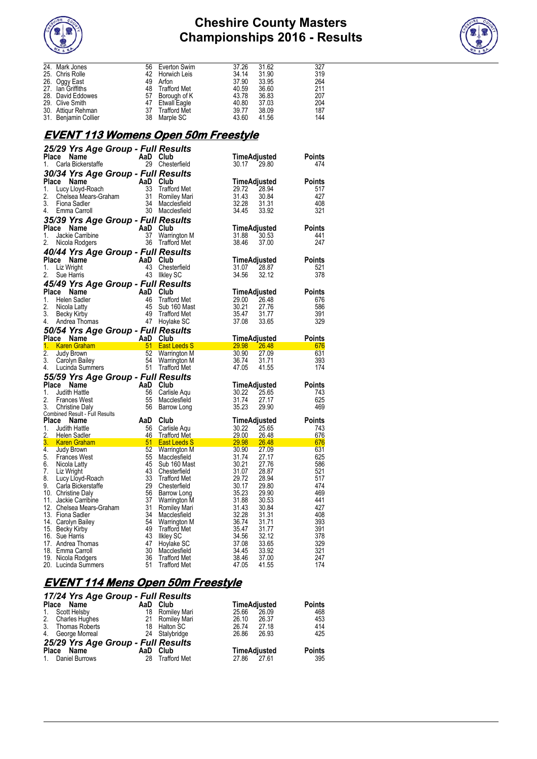



| 24. Mark Jones<br>56<br>37.26<br>31.62<br>327<br>Everton Swim<br>25. Chris Rolle<br>42<br>34.14<br>31.90<br>319<br>Horwich Leis<br>26. Oggy East<br>49<br>37.90<br>264<br>Arfon<br>33.95<br>48<br>40.59<br>211<br>27. Ian Griffiths<br>Trafford Met<br>36.60<br>28. David Eddowes<br>57<br>43.78<br>36.83<br>207<br>Borough of K<br>47<br>29. Clive Smith<br>40.80<br>37.03<br>204<br>Etwall Eagle<br>37<br>39.77<br>38.09<br>187<br>30. Attiqur Rehman<br><b>Trafford Met</b><br>38<br>43.60<br>41.56<br>144<br>31. Benjamin Collier<br>Marple SC<br><u>EVENT 113 Womens Open 50m Freestyle</u><br>25/29 Yrs Age Group - Full Results<br>Place Name<br>AaD Club<br>TimeAdjusted<br><b>Points</b><br>29 Chesterfield<br>474<br>1.<br>Carla Bickerstaffe<br>30.17 29.80<br>30/34 Yrs Age Group - Full Results<br>Place Name<br>Compared the Main Club<br>Lucy Lloyd-Roach 33 Traffor<br>Chelsea Mears-Graham 31 Romile<br>Fiona Sadler 34 Maccle<br>Emma Carroll 30 Maccle<br>TimeAdjusted<br><b>Points</b><br>1.<br>29.72<br>28.94<br>517<br>Trafford Met<br>31.43<br>427<br>2.<br>30.84<br>Romiley Mari<br>31.31<br>32.28<br>408<br>3.<br>Macclesfield<br>30 Macclesfield<br>34.45<br>321<br>4. Emma Carroll<br>33.92<br>35/39 Yrs Age Group - Full Results<br>Place Name<br>$\begin{array}{cc}\n\overrightarrow{AD} & \overrightarrow{Club} \\ 37 & \overrightarrow{Warri}\n\end{array}$<br>TimeAdjusted<br><b>Points</b><br>1.<br>Jackie Carribine<br>Warrington M<br>31.88<br>30.53<br>441<br>36 Trafford Met<br>247<br>2.<br>Nicola Rodgers<br>38.46<br>37.00<br>40/44 Yrs Age Group - Full Results<br>Place Name<br>AaD Club<br>TimeAdjusted<br><b>Points</b><br>Liz Wright<br>43<br>31.07<br>1.<br>Chesterfield<br>28.87<br>521<br>43 Ilkley SC<br>2.<br>Sue Harris<br>34.56<br>32.12<br>378<br>45/49 Yrs Age Group - Full Results<br>Place Name<br>$\begin{array}{c}\n\text{AaD} \quad \text{Club} \\ 46 \quad \text{Traffor} \\ 45 \quad \text{Sub } 16 \\ 49 \quad \text{Traffor} \\ \text{if} \\ 47 \quad \text{Howlab}\n\end{array}$<br>TimeAdjusted<br><b>Points</b><br>29.00<br>1.<br>Helen Sadler<br><b>Trafford Met</b><br>26.48<br>676<br>2.<br>30.21<br>586<br>Sub 160 Mast<br>27.76<br>Nicola Latty<br>3.<br>35.47<br>391<br><b>Trafford Met</b><br>31.77<br>Becky Kirby<br>47 Hoylake SC<br>37.08<br>Andrea Thomas<br>33.65<br>329<br>50/54 Yrs Age Group - Full Results<br>Place Name<br>AaD Club<br><u>TimeAdjusted</u><br><b>Points</b><br><b>Example Transformation of the Control of the Control of the Control of the Control of the Control of the Control of the Control of the Control of the Control of the Control of the Control of the Control of the Control of </b><br>51 East Leeds S<br>29.98 26.48<br>676<br>52<br>631<br>30.90<br>27.09<br>Warrington M<br>54<br>Warrington M<br>36.74<br>31.71<br>393<br>51 Trafford Met<br>47.05<br>174<br>4. Lucinda Summers<br>41.55<br>55/59 Yrs Age Group - Full Results<br>Place Name<br>$\begin{array}{c}\n\text{AaD} \\ 56 \\ 55\n\end{array}$<br>Club<br>TimeAdjusted<br><b>Points</b><br>25.65<br>Judith Hattle<br>Carlisle Aqu<br>30.22<br>743<br>55<br>31.74<br>625<br><b>Frances West</b><br>27.17<br>Macclesfield<br>469<br>56<br>35.23<br>29.90<br><b>Christine Daly</b><br>Barrow Long<br>Combined Result - Full Results<br>Place Name<br>AaD<br>Club<br><b>Points</b><br>TimeAdjusted<br>Judith Hattle<br>56<br>Carlisle Aqu<br>30.22 25.65<br>743<br>46<br><b>Trafford Met</b><br>29.00<br>Helen Sadler<br>26.48<br>676<br>$\frac{29.00}{29.98}$<br>Helen Sadier<br><b>Karen Graham</b><br>Judy Brown 62<br>3.<br>East Leeds S<br><b>26.48</b><br>676<br>30.90<br>631<br>27.09<br>Judy Brown<br>Warrington M<br>55<br>31.74<br>625<br><b>Frances West</b><br>Macclesfield<br>27.17<br>45 Sub 160 Mast<br>30.21<br>586<br>6. Nicola Latty<br>27.76<br>7. Liz Wright<br>43<br>Chesterfield<br>28.87<br>521<br>31.07<br>33<br>Lucy Lloyd-Roach<br><b>Trafford Met</b><br>29.72<br>28.94<br>517<br>29<br>474<br>Carla Bickerstaffe<br>Chesterfield<br>30.17<br>29.80<br>10. Christine Daly<br>56<br>35.23<br>29.90<br>469<br>Barrow Long<br>37<br>30.53<br>441<br>11. Jackie Carribine<br><b>Warrington M</b><br>31.88<br>31<br>427<br>12. Chelsea Mears-Graham<br>Romiley Mari<br>31.43<br>30.84<br>13. Fiona Sadler<br>34<br>32.28<br>31.31<br>408<br>Macclesfield<br>54<br>36.74<br>31.71<br>393<br>14. Carolyn Bailey<br>Warrington M<br>49<br>15. Becky Kirby<br>391<br><b>Trafford Met</b><br>35.47<br>31.77<br>43<br>16. Sue Harris<br>34.56<br>32.12<br>378<br><b>Ilkley SC</b><br>47<br>17. Andrea Thomas<br>Hoylake SC<br>37.08<br>33.65<br>329<br>30<br>18. Emma Carroll<br>33.92<br>321<br>Macclesfield<br>34.45<br>36<br><b>Trafford Met</b><br>37.00<br>247<br>19. Nicola Rodgers<br>38.46<br>51<br>41.55<br>174<br>20. Lucinda Summers<br><b>Trafford Met</b><br>47.05 |                  |  |  |  |
|-----------------------------------------------------------------------------------------------------------------------------------------------------------------------------------------------------------------------------------------------------------------------------------------------------------------------------------------------------------------------------------------------------------------------------------------------------------------------------------------------------------------------------------------------------------------------------------------------------------------------------------------------------------------------------------------------------------------------------------------------------------------------------------------------------------------------------------------------------------------------------------------------------------------------------------------------------------------------------------------------------------------------------------------------------------------------------------------------------------------------------------------------------------------------------------------------------------------------------------------------------------------------------------------------------------------------------------------------------------------------------------------------------------------------------------------------------------------------------------------------------------------------------------------------------------------------------------------------------------------------------------------------------------------------------------------------------------------------------------------------------------------------------------------------------------------------------------------------------------------------------------------------------------------------------------------------------------------------------------------------------------------------------------------------------------------------------------------------------------------------------------------------------------------------------------------------------------------------------------------------------------------------------------------------------------------------------------------------------------------------------------------------------------------------------------------------------------------------------------------------------------------------------------------------------------------------------------------------------------------------------------------------------------------------------------------------------------------------------------------------------------------------------------------------------------------------------------------------------------------------------------------------------------------------------------------------------------------------------------------------------------------------------------------------------------------------------------------------------------------------------------------------------------------------------------------------------------------------------------------------------------------------------------------------------------------------------------------------------------------------------------------------------------------------------------------------------------------------------------------------------------------------------------------------------------------------------------------------------------------------------------------------------------------------------------------------------------------------------------------------------------------------------------------------------------------------------------------------------------------------------------------------------------------------------------------------------------------------------------------------------------------------------------------------------------------------------------------------------------------------------------------------------------------------------------------------------------------------------------------------------------------------------------------------------------------------------------------------------------------------------------------------------------------------------------------------------------------------------------------------------------------------------------------------------------------------------------------------------------------------------------------------------------------------------------------------------------------------------------------------------------------------------------------------------------------------------------------------------------------------------|------------------|--|--|--|
|                                                                                                                                                                                                                                                                                                                                                                                                                                                                                                                                                                                                                                                                                                                                                                                                                                                                                                                                                                                                                                                                                                                                                                                                                                                                                                                                                                                                                                                                                                                                                                                                                                                                                                                                                                                                                                                                                                                                                                                                                                                                                                                                                                                                                                                                                                                                                                                                                                                                                                                                                                                                                                                                                                                                                                                                                                                                                                                                                                                                                                                                                                                                                                                                                                                                                                                                                                                                                                                                                                                                                                                                                                                                                                                                                                                                                                                                                                                                                                                                                                                                                                                                                                                                                                                                                                                                                                                                                                                                                                                                                                                                                                                                                                                                                                                                                                                                             |                  |  |  |  |
|                                                                                                                                                                                                                                                                                                                                                                                                                                                                                                                                                                                                                                                                                                                                                                                                                                                                                                                                                                                                                                                                                                                                                                                                                                                                                                                                                                                                                                                                                                                                                                                                                                                                                                                                                                                                                                                                                                                                                                                                                                                                                                                                                                                                                                                                                                                                                                                                                                                                                                                                                                                                                                                                                                                                                                                                                                                                                                                                                                                                                                                                                                                                                                                                                                                                                                                                                                                                                                                                                                                                                                                                                                                                                                                                                                                                                                                                                                                                                                                                                                                                                                                                                                                                                                                                                                                                                                                                                                                                                                                                                                                                                                                                                                                                                                                                                                                                             |                  |  |  |  |
|                                                                                                                                                                                                                                                                                                                                                                                                                                                                                                                                                                                                                                                                                                                                                                                                                                                                                                                                                                                                                                                                                                                                                                                                                                                                                                                                                                                                                                                                                                                                                                                                                                                                                                                                                                                                                                                                                                                                                                                                                                                                                                                                                                                                                                                                                                                                                                                                                                                                                                                                                                                                                                                                                                                                                                                                                                                                                                                                                                                                                                                                                                                                                                                                                                                                                                                                                                                                                                                                                                                                                                                                                                                                                                                                                                                                                                                                                                                                                                                                                                                                                                                                                                                                                                                                                                                                                                                                                                                                                                                                                                                                                                                                                                                                                                                                                                                                             |                  |  |  |  |
|                                                                                                                                                                                                                                                                                                                                                                                                                                                                                                                                                                                                                                                                                                                                                                                                                                                                                                                                                                                                                                                                                                                                                                                                                                                                                                                                                                                                                                                                                                                                                                                                                                                                                                                                                                                                                                                                                                                                                                                                                                                                                                                                                                                                                                                                                                                                                                                                                                                                                                                                                                                                                                                                                                                                                                                                                                                                                                                                                                                                                                                                                                                                                                                                                                                                                                                                                                                                                                                                                                                                                                                                                                                                                                                                                                                                                                                                                                                                                                                                                                                                                                                                                                                                                                                                                                                                                                                                                                                                                                                                                                                                                                                                                                                                                                                                                                                                             |                  |  |  |  |
|                                                                                                                                                                                                                                                                                                                                                                                                                                                                                                                                                                                                                                                                                                                                                                                                                                                                                                                                                                                                                                                                                                                                                                                                                                                                                                                                                                                                                                                                                                                                                                                                                                                                                                                                                                                                                                                                                                                                                                                                                                                                                                                                                                                                                                                                                                                                                                                                                                                                                                                                                                                                                                                                                                                                                                                                                                                                                                                                                                                                                                                                                                                                                                                                                                                                                                                                                                                                                                                                                                                                                                                                                                                                                                                                                                                                                                                                                                                                                                                                                                                                                                                                                                                                                                                                                                                                                                                                                                                                                                                                                                                                                                                                                                                                                                                                                                                                             |                  |  |  |  |
|                                                                                                                                                                                                                                                                                                                                                                                                                                                                                                                                                                                                                                                                                                                                                                                                                                                                                                                                                                                                                                                                                                                                                                                                                                                                                                                                                                                                                                                                                                                                                                                                                                                                                                                                                                                                                                                                                                                                                                                                                                                                                                                                                                                                                                                                                                                                                                                                                                                                                                                                                                                                                                                                                                                                                                                                                                                                                                                                                                                                                                                                                                                                                                                                                                                                                                                                                                                                                                                                                                                                                                                                                                                                                                                                                                                                                                                                                                                                                                                                                                                                                                                                                                                                                                                                                                                                                                                                                                                                                                                                                                                                                                                                                                                                                                                                                                                                             |                  |  |  |  |
|                                                                                                                                                                                                                                                                                                                                                                                                                                                                                                                                                                                                                                                                                                                                                                                                                                                                                                                                                                                                                                                                                                                                                                                                                                                                                                                                                                                                                                                                                                                                                                                                                                                                                                                                                                                                                                                                                                                                                                                                                                                                                                                                                                                                                                                                                                                                                                                                                                                                                                                                                                                                                                                                                                                                                                                                                                                                                                                                                                                                                                                                                                                                                                                                                                                                                                                                                                                                                                                                                                                                                                                                                                                                                                                                                                                                                                                                                                                                                                                                                                                                                                                                                                                                                                                                                                                                                                                                                                                                                                                                                                                                                                                                                                                                                                                                                                                                             |                  |  |  |  |
|                                                                                                                                                                                                                                                                                                                                                                                                                                                                                                                                                                                                                                                                                                                                                                                                                                                                                                                                                                                                                                                                                                                                                                                                                                                                                                                                                                                                                                                                                                                                                                                                                                                                                                                                                                                                                                                                                                                                                                                                                                                                                                                                                                                                                                                                                                                                                                                                                                                                                                                                                                                                                                                                                                                                                                                                                                                                                                                                                                                                                                                                                                                                                                                                                                                                                                                                                                                                                                                                                                                                                                                                                                                                                                                                                                                                                                                                                                                                                                                                                                                                                                                                                                                                                                                                                                                                                                                                                                                                                                                                                                                                                                                                                                                                                                                                                                                                             |                  |  |  |  |
|                                                                                                                                                                                                                                                                                                                                                                                                                                                                                                                                                                                                                                                                                                                                                                                                                                                                                                                                                                                                                                                                                                                                                                                                                                                                                                                                                                                                                                                                                                                                                                                                                                                                                                                                                                                                                                                                                                                                                                                                                                                                                                                                                                                                                                                                                                                                                                                                                                                                                                                                                                                                                                                                                                                                                                                                                                                                                                                                                                                                                                                                                                                                                                                                                                                                                                                                                                                                                                                                                                                                                                                                                                                                                                                                                                                                                                                                                                                                                                                                                                                                                                                                                                                                                                                                                                                                                                                                                                                                                                                                                                                                                                                                                                                                                                                                                                                                             |                  |  |  |  |
|                                                                                                                                                                                                                                                                                                                                                                                                                                                                                                                                                                                                                                                                                                                                                                                                                                                                                                                                                                                                                                                                                                                                                                                                                                                                                                                                                                                                                                                                                                                                                                                                                                                                                                                                                                                                                                                                                                                                                                                                                                                                                                                                                                                                                                                                                                                                                                                                                                                                                                                                                                                                                                                                                                                                                                                                                                                                                                                                                                                                                                                                                                                                                                                                                                                                                                                                                                                                                                                                                                                                                                                                                                                                                                                                                                                                                                                                                                                                                                                                                                                                                                                                                                                                                                                                                                                                                                                                                                                                                                                                                                                                                                                                                                                                                                                                                                                                             |                  |  |  |  |
|                                                                                                                                                                                                                                                                                                                                                                                                                                                                                                                                                                                                                                                                                                                                                                                                                                                                                                                                                                                                                                                                                                                                                                                                                                                                                                                                                                                                                                                                                                                                                                                                                                                                                                                                                                                                                                                                                                                                                                                                                                                                                                                                                                                                                                                                                                                                                                                                                                                                                                                                                                                                                                                                                                                                                                                                                                                                                                                                                                                                                                                                                                                                                                                                                                                                                                                                                                                                                                                                                                                                                                                                                                                                                                                                                                                                                                                                                                                                                                                                                                                                                                                                                                                                                                                                                                                                                                                                                                                                                                                                                                                                                                                                                                                                                                                                                                                                             |                  |  |  |  |
|                                                                                                                                                                                                                                                                                                                                                                                                                                                                                                                                                                                                                                                                                                                                                                                                                                                                                                                                                                                                                                                                                                                                                                                                                                                                                                                                                                                                                                                                                                                                                                                                                                                                                                                                                                                                                                                                                                                                                                                                                                                                                                                                                                                                                                                                                                                                                                                                                                                                                                                                                                                                                                                                                                                                                                                                                                                                                                                                                                                                                                                                                                                                                                                                                                                                                                                                                                                                                                                                                                                                                                                                                                                                                                                                                                                                                                                                                                                                                                                                                                                                                                                                                                                                                                                                                                                                                                                                                                                                                                                                                                                                                                                                                                                                                                                                                                                                             |                  |  |  |  |
|                                                                                                                                                                                                                                                                                                                                                                                                                                                                                                                                                                                                                                                                                                                                                                                                                                                                                                                                                                                                                                                                                                                                                                                                                                                                                                                                                                                                                                                                                                                                                                                                                                                                                                                                                                                                                                                                                                                                                                                                                                                                                                                                                                                                                                                                                                                                                                                                                                                                                                                                                                                                                                                                                                                                                                                                                                                                                                                                                                                                                                                                                                                                                                                                                                                                                                                                                                                                                                                                                                                                                                                                                                                                                                                                                                                                                                                                                                                                                                                                                                                                                                                                                                                                                                                                                                                                                                                                                                                                                                                                                                                                                                                                                                                                                                                                                                                                             |                  |  |  |  |
|                                                                                                                                                                                                                                                                                                                                                                                                                                                                                                                                                                                                                                                                                                                                                                                                                                                                                                                                                                                                                                                                                                                                                                                                                                                                                                                                                                                                                                                                                                                                                                                                                                                                                                                                                                                                                                                                                                                                                                                                                                                                                                                                                                                                                                                                                                                                                                                                                                                                                                                                                                                                                                                                                                                                                                                                                                                                                                                                                                                                                                                                                                                                                                                                                                                                                                                                                                                                                                                                                                                                                                                                                                                                                                                                                                                                                                                                                                                                                                                                                                                                                                                                                                                                                                                                                                                                                                                                                                                                                                                                                                                                                                                                                                                                                                                                                                                                             |                  |  |  |  |
|                                                                                                                                                                                                                                                                                                                                                                                                                                                                                                                                                                                                                                                                                                                                                                                                                                                                                                                                                                                                                                                                                                                                                                                                                                                                                                                                                                                                                                                                                                                                                                                                                                                                                                                                                                                                                                                                                                                                                                                                                                                                                                                                                                                                                                                                                                                                                                                                                                                                                                                                                                                                                                                                                                                                                                                                                                                                                                                                                                                                                                                                                                                                                                                                                                                                                                                                                                                                                                                                                                                                                                                                                                                                                                                                                                                                                                                                                                                                                                                                                                                                                                                                                                                                                                                                                                                                                                                                                                                                                                                                                                                                                                                                                                                                                                                                                                                                             |                  |  |  |  |
|                                                                                                                                                                                                                                                                                                                                                                                                                                                                                                                                                                                                                                                                                                                                                                                                                                                                                                                                                                                                                                                                                                                                                                                                                                                                                                                                                                                                                                                                                                                                                                                                                                                                                                                                                                                                                                                                                                                                                                                                                                                                                                                                                                                                                                                                                                                                                                                                                                                                                                                                                                                                                                                                                                                                                                                                                                                                                                                                                                                                                                                                                                                                                                                                                                                                                                                                                                                                                                                                                                                                                                                                                                                                                                                                                                                                                                                                                                                                                                                                                                                                                                                                                                                                                                                                                                                                                                                                                                                                                                                                                                                                                                                                                                                                                                                                                                                                             |                  |  |  |  |
|                                                                                                                                                                                                                                                                                                                                                                                                                                                                                                                                                                                                                                                                                                                                                                                                                                                                                                                                                                                                                                                                                                                                                                                                                                                                                                                                                                                                                                                                                                                                                                                                                                                                                                                                                                                                                                                                                                                                                                                                                                                                                                                                                                                                                                                                                                                                                                                                                                                                                                                                                                                                                                                                                                                                                                                                                                                                                                                                                                                                                                                                                                                                                                                                                                                                                                                                                                                                                                                                                                                                                                                                                                                                                                                                                                                                                                                                                                                                                                                                                                                                                                                                                                                                                                                                                                                                                                                                                                                                                                                                                                                                                                                                                                                                                                                                                                                                             |                  |  |  |  |
|                                                                                                                                                                                                                                                                                                                                                                                                                                                                                                                                                                                                                                                                                                                                                                                                                                                                                                                                                                                                                                                                                                                                                                                                                                                                                                                                                                                                                                                                                                                                                                                                                                                                                                                                                                                                                                                                                                                                                                                                                                                                                                                                                                                                                                                                                                                                                                                                                                                                                                                                                                                                                                                                                                                                                                                                                                                                                                                                                                                                                                                                                                                                                                                                                                                                                                                                                                                                                                                                                                                                                                                                                                                                                                                                                                                                                                                                                                                                                                                                                                                                                                                                                                                                                                                                                                                                                                                                                                                                                                                                                                                                                                                                                                                                                                                                                                                                             |                  |  |  |  |
|                                                                                                                                                                                                                                                                                                                                                                                                                                                                                                                                                                                                                                                                                                                                                                                                                                                                                                                                                                                                                                                                                                                                                                                                                                                                                                                                                                                                                                                                                                                                                                                                                                                                                                                                                                                                                                                                                                                                                                                                                                                                                                                                                                                                                                                                                                                                                                                                                                                                                                                                                                                                                                                                                                                                                                                                                                                                                                                                                                                                                                                                                                                                                                                                                                                                                                                                                                                                                                                                                                                                                                                                                                                                                                                                                                                                                                                                                                                                                                                                                                                                                                                                                                                                                                                                                                                                                                                                                                                                                                                                                                                                                                                                                                                                                                                                                                                                             |                  |  |  |  |
|                                                                                                                                                                                                                                                                                                                                                                                                                                                                                                                                                                                                                                                                                                                                                                                                                                                                                                                                                                                                                                                                                                                                                                                                                                                                                                                                                                                                                                                                                                                                                                                                                                                                                                                                                                                                                                                                                                                                                                                                                                                                                                                                                                                                                                                                                                                                                                                                                                                                                                                                                                                                                                                                                                                                                                                                                                                                                                                                                                                                                                                                                                                                                                                                                                                                                                                                                                                                                                                                                                                                                                                                                                                                                                                                                                                                                                                                                                                                                                                                                                                                                                                                                                                                                                                                                                                                                                                                                                                                                                                                                                                                                                                                                                                                                                                                                                                                             |                  |  |  |  |
|                                                                                                                                                                                                                                                                                                                                                                                                                                                                                                                                                                                                                                                                                                                                                                                                                                                                                                                                                                                                                                                                                                                                                                                                                                                                                                                                                                                                                                                                                                                                                                                                                                                                                                                                                                                                                                                                                                                                                                                                                                                                                                                                                                                                                                                                                                                                                                                                                                                                                                                                                                                                                                                                                                                                                                                                                                                                                                                                                                                                                                                                                                                                                                                                                                                                                                                                                                                                                                                                                                                                                                                                                                                                                                                                                                                                                                                                                                                                                                                                                                                                                                                                                                                                                                                                                                                                                                                                                                                                                                                                                                                                                                                                                                                                                                                                                                                                             |                  |  |  |  |
|                                                                                                                                                                                                                                                                                                                                                                                                                                                                                                                                                                                                                                                                                                                                                                                                                                                                                                                                                                                                                                                                                                                                                                                                                                                                                                                                                                                                                                                                                                                                                                                                                                                                                                                                                                                                                                                                                                                                                                                                                                                                                                                                                                                                                                                                                                                                                                                                                                                                                                                                                                                                                                                                                                                                                                                                                                                                                                                                                                                                                                                                                                                                                                                                                                                                                                                                                                                                                                                                                                                                                                                                                                                                                                                                                                                                                                                                                                                                                                                                                                                                                                                                                                                                                                                                                                                                                                                                                                                                                                                                                                                                                                                                                                                                                                                                                                                                             |                  |  |  |  |
|                                                                                                                                                                                                                                                                                                                                                                                                                                                                                                                                                                                                                                                                                                                                                                                                                                                                                                                                                                                                                                                                                                                                                                                                                                                                                                                                                                                                                                                                                                                                                                                                                                                                                                                                                                                                                                                                                                                                                                                                                                                                                                                                                                                                                                                                                                                                                                                                                                                                                                                                                                                                                                                                                                                                                                                                                                                                                                                                                                                                                                                                                                                                                                                                                                                                                                                                                                                                                                                                                                                                                                                                                                                                                                                                                                                                                                                                                                                                                                                                                                                                                                                                                                                                                                                                                                                                                                                                                                                                                                                                                                                                                                                                                                                                                                                                                                                                             |                  |  |  |  |
|                                                                                                                                                                                                                                                                                                                                                                                                                                                                                                                                                                                                                                                                                                                                                                                                                                                                                                                                                                                                                                                                                                                                                                                                                                                                                                                                                                                                                                                                                                                                                                                                                                                                                                                                                                                                                                                                                                                                                                                                                                                                                                                                                                                                                                                                                                                                                                                                                                                                                                                                                                                                                                                                                                                                                                                                                                                                                                                                                                                                                                                                                                                                                                                                                                                                                                                                                                                                                                                                                                                                                                                                                                                                                                                                                                                                                                                                                                                                                                                                                                                                                                                                                                                                                                                                                                                                                                                                                                                                                                                                                                                                                                                                                                                                                                                                                                                                             |                  |  |  |  |
|                                                                                                                                                                                                                                                                                                                                                                                                                                                                                                                                                                                                                                                                                                                                                                                                                                                                                                                                                                                                                                                                                                                                                                                                                                                                                                                                                                                                                                                                                                                                                                                                                                                                                                                                                                                                                                                                                                                                                                                                                                                                                                                                                                                                                                                                                                                                                                                                                                                                                                                                                                                                                                                                                                                                                                                                                                                                                                                                                                                                                                                                                                                                                                                                                                                                                                                                                                                                                                                                                                                                                                                                                                                                                                                                                                                                                                                                                                                                                                                                                                                                                                                                                                                                                                                                                                                                                                                                                                                                                                                                                                                                                                                                                                                                                                                                                                                                             |                  |  |  |  |
|                                                                                                                                                                                                                                                                                                                                                                                                                                                                                                                                                                                                                                                                                                                                                                                                                                                                                                                                                                                                                                                                                                                                                                                                                                                                                                                                                                                                                                                                                                                                                                                                                                                                                                                                                                                                                                                                                                                                                                                                                                                                                                                                                                                                                                                                                                                                                                                                                                                                                                                                                                                                                                                                                                                                                                                                                                                                                                                                                                                                                                                                                                                                                                                                                                                                                                                                                                                                                                                                                                                                                                                                                                                                                                                                                                                                                                                                                                                                                                                                                                                                                                                                                                                                                                                                                                                                                                                                                                                                                                                                                                                                                                                                                                                                                                                                                                                                             |                  |  |  |  |
|                                                                                                                                                                                                                                                                                                                                                                                                                                                                                                                                                                                                                                                                                                                                                                                                                                                                                                                                                                                                                                                                                                                                                                                                                                                                                                                                                                                                                                                                                                                                                                                                                                                                                                                                                                                                                                                                                                                                                                                                                                                                                                                                                                                                                                                                                                                                                                                                                                                                                                                                                                                                                                                                                                                                                                                                                                                                                                                                                                                                                                                                                                                                                                                                                                                                                                                                                                                                                                                                                                                                                                                                                                                                                                                                                                                                                                                                                                                                                                                                                                                                                                                                                                                                                                                                                                                                                                                                                                                                                                                                                                                                                                                                                                                                                                                                                                                                             |                  |  |  |  |
|                                                                                                                                                                                                                                                                                                                                                                                                                                                                                                                                                                                                                                                                                                                                                                                                                                                                                                                                                                                                                                                                                                                                                                                                                                                                                                                                                                                                                                                                                                                                                                                                                                                                                                                                                                                                                                                                                                                                                                                                                                                                                                                                                                                                                                                                                                                                                                                                                                                                                                                                                                                                                                                                                                                                                                                                                                                                                                                                                                                                                                                                                                                                                                                                                                                                                                                                                                                                                                                                                                                                                                                                                                                                                                                                                                                                                                                                                                                                                                                                                                                                                                                                                                                                                                                                                                                                                                                                                                                                                                                                                                                                                                                                                                                                                                                                                                                                             |                  |  |  |  |
|                                                                                                                                                                                                                                                                                                                                                                                                                                                                                                                                                                                                                                                                                                                                                                                                                                                                                                                                                                                                                                                                                                                                                                                                                                                                                                                                                                                                                                                                                                                                                                                                                                                                                                                                                                                                                                                                                                                                                                                                                                                                                                                                                                                                                                                                                                                                                                                                                                                                                                                                                                                                                                                                                                                                                                                                                                                                                                                                                                                                                                                                                                                                                                                                                                                                                                                                                                                                                                                                                                                                                                                                                                                                                                                                                                                                                                                                                                                                                                                                                                                                                                                                                                                                                                                                                                                                                                                                                                                                                                                                                                                                                                                                                                                                                                                                                                                                             |                  |  |  |  |
|                                                                                                                                                                                                                                                                                                                                                                                                                                                                                                                                                                                                                                                                                                                                                                                                                                                                                                                                                                                                                                                                                                                                                                                                                                                                                                                                                                                                                                                                                                                                                                                                                                                                                                                                                                                                                                                                                                                                                                                                                                                                                                                                                                                                                                                                                                                                                                                                                                                                                                                                                                                                                                                                                                                                                                                                                                                                                                                                                                                                                                                                                                                                                                                                                                                                                                                                                                                                                                                                                                                                                                                                                                                                                                                                                                                                                                                                                                                                                                                                                                                                                                                                                                                                                                                                                                                                                                                                                                                                                                                                                                                                                                                                                                                                                                                                                                                                             |                  |  |  |  |
|                                                                                                                                                                                                                                                                                                                                                                                                                                                                                                                                                                                                                                                                                                                                                                                                                                                                                                                                                                                                                                                                                                                                                                                                                                                                                                                                                                                                                                                                                                                                                                                                                                                                                                                                                                                                                                                                                                                                                                                                                                                                                                                                                                                                                                                                                                                                                                                                                                                                                                                                                                                                                                                                                                                                                                                                                                                                                                                                                                                                                                                                                                                                                                                                                                                                                                                                                                                                                                                                                                                                                                                                                                                                                                                                                                                                                                                                                                                                                                                                                                                                                                                                                                                                                                                                                                                                                                                                                                                                                                                                                                                                                                                                                                                                                                                                                                                                             |                  |  |  |  |
|                                                                                                                                                                                                                                                                                                                                                                                                                                                                                                                                                                                                                                                                                                                                                                                                                                                                                                                                                                                                                                                                                                                                                                                                                                                                                                                                                                                                                                                                                                                                                                                                                                                                                                                                                                                                                                                                                                                                                                                                                                                                                                                                                                                                                                                                                                                                                                                                                                                                                                                                                                                                                                                                                                                                                                                                                                                                                                                                                                                                                                                                                                                                                                                                                                                                                                                                                                                                                                                                                                                                                                                                                                                                                                                                                                                                                                                                                                                                                                                                                                                                                                                                                                                                                                                                                                                                                                                                                                                                                                                                                                                                                                                                                                                                                                                                                                                                             |                  |  |  |  |
|                                                                                                                                                                                                                                                                                                                                                                                                                                                                                                                                                                                                                                                                                                                                                                                                                                                                                                                                                                                                                                                                                                                                                                                                                                                                                                                                                                                                                                                                                                                                                                                                                                                                                                                                                                                                                                                                                                                                                                                                                                                                                                                                                                                                                                                                                                                                                                                                                                                                                                                                                                                                                                                                                                                                                                                                                                                                                                                                                                                                                                                                                                                                                                                                                                                                                                                                                                                                                                                                                                                                                                                                                                                                                                                                                                                                                                                                                                                                                                                                                                                                                                                                                                                                                                                                                                                                                                                                                                                                                                                                                                                                                                                                                                                                                                                                                                                                             |                  |  |  |  |
|                                                                                                                                                                                                                                                                                                                                                                                                                                                                                                                                                                                                                                                                                                                                                                                                                                                                                                                                                                                                                                                                                                                                                                                                                                                                                                                                                                                                                                                                                                                                                                                                                                                                                                                                                                                                                                                                                                                                                                                                                                                                                                                                                                                                                                                                                                                                                                                                                                                                                                                                                                                                                                                                                                                                                                                                                                                                                                                                                                                                                                                                                                                                                                                                                                                                                                                                                                                                                                                                                                                                                                                                                                                                                                                                                                                                                                                                                                                                                                                                                                                                                                                                                                                                                                                                                                                                                                                                                                                                                                                                                                                                                                                                                                                                                                                                                                                                             |                  |  |  |  |
|                                                                                                                                                                                                                                                                                                                                                                                                                                                                                                                                                                                                                                                                                                                                                                                                                                                                                                                                                                                                                                                                                                                                                                                                                                                                                                                                                                                                                                                                                                                                                                                                                                                                                                                                                                                                                                                                                                                                                                                                                                                                                                                                                                                                                                                                                                                                                                                                                                                                                                                                                                                                                                                                                                                                                                                                                                                                                                                                                                                                                                                                                                                                                                                                                                                                                                                                                                                                                                                                                                                                                                                                                                                                                                                                                                                                                                                                                                                                                                                                                                                                                                                                                                                                                                                                                                                                                                                                                                                                                                                                                                                                                                                                                                                                                                                                                                                                             |                  |  |  |  |
|                                                                                                                                                                                                                                                                                                                                                                                                                                                                                                                                                                                                                                                                                                                                                                                                                                                                                                                                                                                                                                                                                                                                                                                                                                                                                                                                                                                                                                                                                                                                                                                                                                                                                                                                                                                                                                                                                                                                                                                                                                                                                                                                                                                                                                                                                                                                                                                                                                                                                                                                                                                                                                                                                                                                                                                                                                                                                                                                                                                                                                                                                                                                                                                                                                                                                                                                                                                                                                                                                                                                                                                                                                                                                                                                                                                                                                                                                                                                                                                                                                                                                                                                                                                                                                                                                                                                                                                                                                                                                                                                                                                                                                                                                                                                                                                                                                                                             |                  |  |  |  |
|                                                                                                                                                                                                                                                                                                                                                                                                                                                                                                                                                                                                                                                                                                                                                                                                                                                                                                                                                                                                                                                                                                                                                                                                                                                                                                                                                                                                                                                                                                                                                                                                                                                                                                                                                                                                                                                                                                                                                                                                                                                                                                                                                                                                                                                                                                                                                                                                                                                                                                                                                                                                                                                                                                                                                                                                                                                                                                                                                                                                                                                                                                                                                                                                                                                                                                                                                                                                                                                                                                                                                                                                                                                                                                                                                                                                                                                                                                                                                                                                                                                                                                                                                                                                                                                                                                                                                                                                                                                                                                                                                                                                                                                                                                                                                                                                                                                                             |                  |  |  |  |
|                                                                                                                                                                                                                                                                                                                                                                                                                                                                                                                                                                                                                                                                                                                                                                                                                                                                                                                                                                                                                                                                                                                                                                                                                                                                                                                                                                                                                                                                                                                                                                                                                                                                                                                                                                                                                                                                                                                                                                                                                                                                                                                                                                                                                                                                                                                                                                                                                                                                                                                                                                                                                                                                                                                                                                                                                                                                                                                                                                                                                                                                                                                                                                                                                                                                                                                                                                                                                                                                                                                                                                                                                                                                                                                                                                                                                                                                                                                                                                                                                                                                                                                                                                                                                                                                                                                                                                                                                                                                                                                                                                                                                                                                                                                                                                                                                                                                             |                  |  |  |  |
|                                                                                                                                                                                                                                                                                                                                                                                                                                                                                                                                                                                                                                                                                                                                                                                                                                                                                                                                                                                                                                                                                                                                                                                                                                                                                                                                                                                                                                                                                                                                                                                                                                                                                                                                                                                                                                                                                                                                                                                                                                                                                                                                                                                                                                                                                                                                                                                                                                                                                                                                                                                                                                                                                                                                                                                                                                                                                                                                                                                                                                                                                                                                                                                                                                                                                                                                                                                                                                                                                                                                                                                                                                                                                                                                                                                                                                                                                                                                                                                                                                                                                                                                                                                                                                                                                                                                                                                                                                                                                                                                                                                                                                                                                                                                                                                                                                                                             | 4.               |  |  |  |
|                                                                                                                                                                                                                                                                                                                                                                                                                                                                                                                                                                                                                                                                                                                                                                                                                                                                                                                                                                                                                                                                                                                                                                                                                                                                                                                                                                                                                                                                                                                                                                                                                                                                                                                                                                                                                                                                                                                                                                                                                                                                                                                                                                                                                                                                                                                                                                                                                                                                                                                                                                                                                                                                                                                                                                                                                                                                                                                                                                                                                                                                                                                                                                                                                                                                                                                                                                                                                                                                                                                                                                                                                                                                                                                                                                                                                                                                                                                                                                                                                                                                                                                                                                                                                                                                                                                                                                                                                                                                                                                                                                                                                                                                                                                                                                                                                                                                             |                  |  |  |  |
|                                                                                                                                                                                                                                                                                                                                                                                                                                                                                                                                                                                                                                                                                                                                                                                                                                                                                                                                                                                                                                                                                                                                                                                                                                                                                                                                                                                                                                                                                                                                                                                                                                                                                                                                                                                                                                                                                                                                                                                                                                                                                                                                                                                                                                                                                                                                                                                                                                                                                                                                                                                                                                                                                                                                                                                                                                                                                                                                                                                                                                                                                                                                                                                                                                                                                                                                                                                                                                                                                                                                                                                                                                                                                                                                                                                                                                                                                                                                                                                                                                                                                                                                                                                                                                                                                                                                                                                                                                                                                                                                                                                                                                                                                                                                                                                                                                                                             | 1.               |  |  |  |
|                                                                                                                                                                                                                                                                                                                                                                                                                                                                                                                                                                                                                                                                                                                                                                                                                                                                                                                                                                                                                                                                                                                                                                                                                                                                                                                                                                                                                                                                                                                                                                                                                                                                                                                                                                                                                                                                                                                                                                                                                                                                                                                                                                                                                                                                                                                                                                                                                                                                                                                                                                                                                                                                                                                                                                                                                                                                                                                                                                                                                                                                                                                                                                                                                                                                                                                                                                                                                                                                                                                                                                                                                                                                                                                                                                                                                                                                                                                                                                                                                                                                                                                                                                                                                                                                                                                                                                                                                                                                                                                                                                                                                                                                                                                                                                                                                                                                             |                  |  |  |  |
|                                                                                                                                                                                                                                                                                                                                                                                                                                                                                                                                                                                                                                                                                                                                                                                                                                                                                                                                                                                                                                                                                                                                                                                                                                                                                                                                                                                                                                                                                                                                                                                                                                                                                                                                                                                                                                                                                                                                                                                                                                                                                                                                                                                                                                                                                                                                                                                                                                                                                                                                                                                                                                                                                                                                                                                                                                                                                                                                                                                                                                                                                                                                                                                                                                                                                                                                                                                                                                                                                                                                                                                                                                                                                                                                                                                                                                                                                                                                                                                                                                                                                                                                                                                                                                                                                                                                                                                                                                                                                                                                                                                                                                                                                                                                                                                                                                                                             | $\overline{2}$ . |  |  |  |
|                                                                                                                                                                                                                                                                                                                                                                                                                                                                                                                                                                                                                                                                                                                                                                                                                                                                                                                                                                                                                                                                                                                                                                                                                                                                                                                                                                                                                                                                                                                                                                                                                                                                                                                                                                                                                                                                                                                                                                                                                                                                                                                                                                                                                                                                                                                                                                                                                                                                                                                                                                                                                                                                                                                                                                                                                                                                                                                                                                                                                                                                                                                                                                                                                                                                                                                                                                                                                                                                                                                                                                                                                                                                                                                                                                                                                                                                                                                                                                                                                                                                                                                                                                                                                                                                                                                                                                                                                                                                                                                                                                                                                                                                                                                                                                                                                                                                             | 3.               |  |  |  |
|                                                                                                                                                                                                                                                                                                                                                                                                                                                                                                                                                                                                                                                                                                                                                                                                                                                                                                                                                                                                                                                                                                                                                                                                                                                                                                                                                                                                                                                                                                                                                                                                                                                                                                                                                                                                                                                                                                                                                                                                                                                                                                                                                                                                                                                                                                                                                                                                                                                                                                                                                                                                                                                                                                                                                                                                                                                                                                                                                                                                                                                                                                                                                                                                                                                                                                                                                                                                                                                                                                                                                                                                                                                                                                                                                                                                                                                                                                                                                                                                                                                                                                                                                                                                                                                                                                                                                                                                                                                                                                                                                                                                                                                                                                                                                                                                                                                                             |                  |  |  |  |
|                                                                                                                                                                                                                                                                                                                                                                                                                                                                                                                                                                                                                                                                                                                                                                                                                                                                                                                                                                                                                                                                                                                                                                                                                                                                                                                                                                                                                                                                                                                                                                                                                                                                                                                                                                                                                                                                                                                                                                                                                                                                                                                                                                                                                                                                                                                                                                                                                                                                                                                                                                                                                                                                                                                                                                                                                                                                                                                                                                                                                                                                                                                                                                                                                                                                                                                                                                                                                                                                                                                                                                                                                                                                                                                                                                                                                                                                                                                                                                                                                                                                                                                                                                                                                                                                                                                                                                                                                                                                                                                                                                                                                                                                                                                                                                                                                                                                             |                  |  |  |  |
|                                                                                                                                                                                                                                                                                                                                                                                                                                                                                                                                                                                                                                                                                                                                                                                                                                                                                                                                                                                                                                                                                                                                                                                                                                                                                                                                                                                                                                                                                                                                                                                                                                                                                                                                                                                                                                                                                                                                                                                                                                                                                                                                                                                                                                                                                                                                                                                                                                                                                                                                                                                                                                                                                                                                                                                                                                                                                                                                                                                                                                                                                                                                                                                                                                                                                                                                                                                                                                                                                                                                                                                                                                                                                                                                                                                                                                                                                                                                                                                                                                                                                                                                                                                                                                                                                                                                                                                                                                                                                                                                                                                                                                                                                                                                                                                                                                                                             |                  |  |  |  |
|                                                                                                                                                                                                                                                                                                                                                                                                                                                                                                                                                                                                                                                                                                                                                                                                                                                                                                                                                                                                                                                                                                                                                                                                                                                                                                                                                                                                                                                                                                                                                                                                                                                                                                                                                                                                                                                                                                                                                                                                                                                                                                                                                                                                                                                                                                                                                                                                                                                                                                                                                                                                                                                                                                                                                                                                                                                                                                                                                                                                                                                                                                                                                                                                                                                                                                                                                                                                                                                                                                                                                                                                                                                                                                                                                                                                                                                                                                                                                                                                                                                                                                                                                                                                                                                                                                                                                                                                                                                                                                                                                                                                                                                                                                                                                                                                                                                                             | 1.               |  |  |  |
|                                                                                                                                                                                                                                                                                                                                                                                                                                                                                                                                                                                                                                                                                                                                                                                                                                                                                                                                                                                                                                                                                                                                                                                                                                                                                                                                                                                                                                                                                                                                                                                                                                                                                                                                                                                                                                                                                                                                                                                                                                                                                                                                                                                                                                                                                                                                                                                                                                                                                                                                                                                                                                                                                                                                                                                                                                                                                                                                                                                                                                                                                                                                                                                                                                                                                                                                                                                                                                                                                                                                                                                                                                                                                                                                                                                                                                                                                                                                                                                                                                                                                                                                                                                                                                                                                                                                                                                                                                                                                                                                                                                                                                                                                                                                                                                                                                                                             | 2.               |  |  |  |
|                                                                                                                                                                                                                                                                                                                                                                                                                                                                                                                                                                                                                                                                                                                                                                                                                                                                                                                                                                                                                                                                                                                                                                                                                                                                                                                                                                                                                                                                                                                                                                                                                                                                                                                                                                                                                                                                                                                                                                                                                                                                                                                                                                                                                                                                                                                                                                                                                                                                                                                                                                                                                                                                                                                                                                                                                                                                                                                                                                                                                                                                                                                                                                                                                                                                                                                                                                                                                                                                                                                                                                                                                                                                                                                                                                                                                                                                                                                                                                                                                                                                                                                                                                                                                                                                                                                                                                                                                                                                                                                                                                                                                                                                                                                                                                                                                                                                             | 3.               |  |  |  |
|                                                                                                                                                                                                                                                                                                                                                                                                                                                                                                                                                                                                                                                                                                                                                                                                                                                                                                                                                                                                                                                                                                                                                                                                                                                                                                                                                                                                                                                                                                                                                                                                                                                                                                                                                                                                                                                                                                                                                                                                                                                                                                                                                                                                                                                                                                                                                                                                                                                                                                                                                                                                                                                                                                                                                                                                                                                                                                                                                                                                                                                                                                                                                                                                                                                                                                                                                                                                                                                                                                                                                                                                                                                                                                                                                                                                                                                                                                                                                                                                                                                                                                                                                                                                                                                                                                                                                                                                                                                                                                                                                                                                                                                                                                                                                                                                                                                                             |                  |  |  |  |
|                                                                                                                                                                                                                                                                                                                                                                                                                                                                                                                                                                                                                                                                                                                                                                                                                                                                                                                                                                                                                                                                                                                                                                                                                                                                                                                                                                                                                                                                                                                                                                                                                                                                                                                                                                                                                                                                                                                                                                                                                                                                                                                                                                                                                                                                                                                                                                                                                                                                                                                                                                                                                                                                                                                                                                                                                                                                                                                                                                                                                                                                                                                                                                                                                                                                                                                                                                                                                                                                                                                                                                                                                                                                                                                                                                                                                                                                                                                                                                                                                                                                                                                                                                                                                                                                                                                                                                                                                                                                                                                                                                                                                                                                                                                                                                                                                                                                             |                  |  |  |  |
|                                                                                                                                                                                                                                                                                                                                                                                                                                                                                                                                                                                                                                                                                                                                                                                                                                                                                                                                                                                                                                                                                                                                                                                                                                                                                                                                                                                                                                                                                                                                                                                                                                                                                                                                                                                                                                                                                                                                                                                                                                                                                                                                                                                                                                                                                                                                                                                                                                                                                                                                                                                                                                                                                                                                                                                                                                                                                                                                                                                                                                                                                                                                                                                                                                                                                                                                                                                                                                                                                                                                                                                                                                                                                                                                                                                                                                                                                                                                                                                                                                                                                                                                                                                                                                                                                                                                                                                                                                                                                                                                                                                                                                                                                                                                                                                                                                                                             | 1.               |  |  |  |
|                                                                                                                                                                                                                                                                                                                                                                                                                                                                                                                                                                                                                                                                                                                                                                                                                                                                                                                                                                                                                                                                                                                                                                                                                                                                                                                                                                                                                                                                                                                                                                                                                                                                                                                                                                                                                                                                                                                                                                                                                                                                                                                                                                                                                                                                                                                                                                                                                                                                                                                                                                                                                                                                                                                                                                                                                                                                                                                                                                                                                                                                                                                                                                                                                                                                                                                                                                                                                                                                                                                                                                                                                                                                                                                                                                                                                                                                                                                                                                                                                                                                                                                                                                                                                                                                                                                                                                                                                                                                                                                                                                                                                                                                                                                                                                                                                                                                             | 2.               |  |  |  |
|                                                                                                                                                                                                                                                                                                                                                                                                                                                                                                                                                                                                                                                                                                                                                                                                                                                                                                                                                                                                                                                                                                                                                                                                                                                                                                                                                                                                                                                                                                                                                                                                                                                                                                                                                                                                                                                                                                                                                                                                                                                                                                                                                                                                                                                                                                                                                                                                                                                                                                                                                                                                                                                                                                                                                                                                                                                                                                                                                                                                                                                                                                                                                                                                                                                                                                                                                                                                                                                                                                                                                                                                                                                                                                                                                                                                                                                                                                                                                                                                                                                                                                                                                                                                                                                                                                                                                                                                                                                                                                                                                                                                                                                                                                                                                                                                                                                                             |                  |  |  |  |
|                                                                                                                                                                                                                                                                                                                                                                                                                                                                                                                                                                                                                                                                                                                                                                                                                                                                                                                                                                                                                                                                                                                                                                                                                                                                                                                                                                                                                                                                                                                                                                                                                                                                                                                                                                                                                                                                                                                                                                                                                                                                                                                                                                                                                                                                                                                                                                                                                                                                                                                                                                                                                                                                                                                                                                                                                                                                                                                                                                                                                                                                                                                                                                                                                                                                                                                                                                                                                                                                                                                                                                                                                                                                                                                                                                                                                                                                                                                                                                                                                                                                                                                                                                                                                                                                                                                                                                                                                                                                                                                                                                                                                                                                                                                                                                                                                                                                             | 4.               |  |  |  |
|                                                                                                                                                                                                                                                                                                                                                                                                                                                                                                                                                                                                                                                                                                                                                                                                                                                                                                                                                                                                                                                                                                                                                                                                                                                                                                                                                                                                                                                                                                                                                                                                                                                                                                                                                                                                                                                                                                                                                                                                                                                                                                                                                                                                                                                                                                                                                                                                                                                                                                                                                                                                                                                                                                                                                                                                                                                                                                                                                                                                                                                                                                                                                                                                                                                                                                                                                                                                                                                                                                                                                                                                                                                                                                                                                                                                                                                                                                                                                                                                                                                                                                                                                                                                                                                                                                                                                                                                                                                                                                                                                                                                                                                                                                                                                                                                                                                                             | 5.               |  |  |  |
|                                                                                                                                                                                                                                                                                                                                                                                                                                                                                                                                                                                                                                                                                                                                                                                                                                                                                                                                                                                                                                                                                                                                                                                                                                                                                                                                                                                                                                                                                                                                                                                                                                                                                                                                                                                                                                                                                                                                                                                                                                                                                                                                                                                                                                                                                                                                                                                                                                                                                                                                                                                                                                                                                                                                                                                                                                                                                                                                                                                                                                                                                                                                                                                                                                                                                                                                                                                                                                                                                                                                                                                                                                                                                                                                                                                                                                                                                                                                                                                                                                                                                                                                                                                                                                                                                                                                                                                                                                                                                                                                                                                                                                                                                                                                                                                                                                                                             |                  |  |  |  |
|                                                                                                                                                                                                                                                                                                                                                                                                                                                                                                                                                                                                                                                                                                                                                                                                                                                                                                                                                                                                                                                                                                                                                                                                                                                                                                                                                                                                                                                                                                                                                                                                                                                                                                                                                                                                                                                                                                                                                                                                                                                                                                                                                                                                                                                                                                                                                                                                                                                                                                                                                                                                                                                                                                                                                                                                                                                                                                                                                                                                                                                                                                                                                                                                                                                                                                                                                                                                                                                                                                                                                                                                                                                                                                                                                                                                                                                                                                                                                                                                                                                                                                                                                                                                                                                                                                                                                                                                                                                                                                                                                                                                                                                                                                                                                                                                                                                                             |                  |  |  |  |
|                                                                                                                                                                                                                                                                                                                                                                                                                                                                                                                                                                                                                                                                                                                                                                                                                                                                                                                                                                                                                                                                                                                                                                                                                                                                                                                                                                                                                                                                                                                                                                                                                                                                                                                                                                                                                                                                                                                                                                                                                                                                                                                                                                                                                                                                                                                                                                                                                                                                                                                                                                                                                                                                                                                                                                                                                                                                                                                                                                                                                                                                                                                                                                                                                                                                                                                                                                                                                                                                                                                                                                                                                                                                                                                                                                                                                                                                                                                                                                                                                                                                                                                                                                                                                                                                                                                                                                                                                                                                                                                                                                                                                                                                                                                                                                                                                                                                             |                  |  |  |  |
|                                                                                                                                                                                                                                                                                                                                                                                                                                                                                                                                                                                                                                                                                                                                                                                                                                                                                                                                                                                                                                                                                                                                                                                                                                                                                                                                                                                                                                                                                                                                                                                                                                                                                                                                                                                                                                                                                                                                                                                                                                                                                                                                                                                                                                                                                                                                                                                                                                                                                                                                                                                                                                                                                                                                                                                                                                                                                                                                                                                                                                                                                                                                                                                                                                                                                                                                                                                                                                                                                                                                                                                                                                                                                                                                                                                                                                                                                                                                                                                                                                                                                                                                                                                                                                                                                                                                                                                                                                                                                                                                                                                                                                                                                                                                                                                                                                                                             | 8.               |  |  |  |
|                                                                                                                                                                                                                                                                                                                                                                                                                                                                                                                                                                                                                                                                                                                                                                                                                                                                                                                                                                                                                                                                                                                                                                                                                                                                                                                                                                                                                                                                                                                                                                                                                                                                                                                                                                                                                                                                                                                                                                                                                                                                                                                                                                                                                                                                                                                                                                                                                                                                                                                                                                                                                                                                                                                                                                                                                                                                                                                                                                                                                                                                                                                                                                                                                                                                                                                                                                                                                                                                                                                                                                                                                                                                                                                                                                                                                                                                                                                                                                                                                                                                                                                                                                                                                                                                                                                                                                                                                                                                                                                                                                                                                                                                                                                                                                                                                                                                             | 9.               |  |  |  |
|                                                                                                                                                                                                                                                                                                                                                                                                                                                                                                                                                                                                                                                                                                                                                                                                                                                                                                                                                                                                                                                                                                                                                                                                                                                                                                                                                                                                                                                                                                                                                                                                                                                                                                                                                                                                                                                                                                                                                                                                                                                                                                                                                                                                                                                                                                                                                                                                                                                                                                                                                                                                                                                                                                                                                                                                                                                                                                                                                                                                                                                                                                                                                                                                                                                                                                                                                                                                                                                                                                                                                                                                                                                                                                                                                                                                                                                                                                                                                                                                                                                                                                                                                                                                                                                                                                                                                                                                                                                                                                                                                                                                                                                                                                                                                                                                                                                                             |                  |  |  |  |
|                                                                                                                                                                                                                                                                                                                                                                                                                                                                                                                                                                                                                                                                                                                                                                                                                                                                                                                                                                                                                                                                                                                                                                                                                                                                                                                                                                                                                                                                                                                                                                                                                                                                                                                                                                                                                                                                                                                                                                                                                                                                                                                                                                                                                                                                                                                                                                                                                                                                                                                                                                                                                                                                                                                                                                                                                                                                                                                                                                                                                                                                                                                                                                                                                                                                                                                                                                                                                                                                                                                                                                                                                                                                                                                                                                                                                                                                                                                                                                                                                                                                                                                                                                                                                                                                                                                                                                                                                                                                                                                                                                                                                                                                                                                                                                                                                                                                             |                  |  |  |  |
|                                                                                                                                                                                                                                                                                                                                                                                                                                                                                                                                                                                                                                                                                                                                                                                                                                                                                                                                                                                                                                                                                                                                                                                                                                                                                                                                                                                                                                                                                                                                                                                                                                                                                                                                                                                                                                                                                                                                                                                                                                                                                                                                                                                                                                                                                                                                                                                                                                                                                                                                                                                                                                                                                                                                                                                                                                                                                                                                                                                                                                                                                                                                                                                                                                                                                                                                                                                                                                                                                                                                                                                                                                                                                                                                                                                                                                                                                                                                                                                                                                                                                                                                                                                                                                                                                                                                                                                                                                                                                                                                                                                                                                                                                                                                                                                                                                                                             |                  |  |  |  |
|                                                                                                                                                                                                                                                                                                                                                                                                                                                                                                                                                                                                                                                                                                                                                                                                                                                                                                                                                                                                                                                                                                                                                                                                                                                                                                                                                                                                                                                                                                                                                                                                                                                                                                                                                                                                                                                                                                                                                                                                                                                                                                                                                                                                                                                                                                                                                                                                                                                                                                                                                                                                                                                                                                                                                                                                                                                                                                                                                                                                                                                                                                                                                                                                                                                                                                                                                                                                                                                                                                                                                                                                                                                                                                                                                                                                                                                                                                                                                                                                                                                                                                                                                                                                                                                                                                                                                                                                                                                                                                                                                                                                                                                                                                                                                                                                                                                                             |                  |  |  |  |
|                                                                                                                                                                                                                                                                                                                                                                                                                                                                                                                                                                                                                                                                                                                                                                                                                                                                                                                                                                                                                                                                                                                                                                                                                                                                                                                                                                                                                                                                                                                                                                                                                                                                                                                                                                                                                                                                                                                                                                                                                                                                                                                                                                                                                                                                                                                                                                                                                                                                                                                                                                                                                                                                                                                                                                                                                                                                                                                                                                                                                                                                                                                                                                                                                                                                                                                                                                                                                                                                                                                                                                                                                                                                                                                                                                                                                                                                                                                                                                                                                                                                                                                                                                                                                                                                                                                                                                                                                                                                                                                                                                                                                                                                                                                                                                                                                                                                             |                  |  |  |  |
|                                                                                                                                                                                                                                                                                                                                                                                                                                                                                                                                                                                                                                                                                                                                                                                                                                                                                                                                                                                                                                                                                                                                                                                                                                                                                                                                                                                                                                                                                                                                                                                                                                                                                                                                                                                                                                                                                                                                                                                                                                                                                                                                                                                                                                                                                                                                                                                                                                                                                                                                                                                                                                                                                                                                                                                                                                                                                                                                                                                                                                                                                                                                                                                                                                                                                                                                                                                                                                                                                                                                                                                                                                                                                                                                                                                                                                                                                                                                                                                                                                                                                                                                                                                                                                                                                                                                                                                                                                                                                                                                                                                                                                                                                                                                                                                                                                                                             |                  |  |  |  |
|                                                                                                                                                                                                                                                                                                                                                                                                                                                                                                                                                                                                                                                                                                                                                                                                                                                                                                                                                                                                                                                                                                                                                                                                                                                                                                                                                                                                                                                                                                                                                                                                                                                                                                                                                                                                                                                                                                                                                                                                                                                                                                                                                                                                                                                                                                                                                                                                                                                                                                                                                                                                                                                                                                                                                                                                                                                                                                                                                                                                                                                                                                                                                                                                                                                                                                                                                                                                                                                                                                                                                                                                                                                                                                                                                                                                                                                                                                                                                                                                                                                                                                                                                                                                                                                                                                                                                                                                                                                                                                                                                                                                                                                                                                                                                                                                                                                                             |                  |  |  |  |
|                                                                                                                                                                                                                                                                                                                                                                                                                                                                                                                                                                                                                                                                                                                                                                                                                                                                                                                                                                                                                                                                                                                                                                                                                                                                                                                                                                                                                                                                                                                                                                                                                                                                                                                                                                                                                                                                                                                                                                                                                                                                                                                                                                                                                                                                                                                                                                                                                                                                                                                                                                                                                                                                                                                                                                                                                                                                                                                                                                                                                                                                                                                                                                                                                                                                                                                                                                                                                                                                                                                                                                                                                                                                                                                                                                                                                                                                                                                                                                                                                                                                                                                                                                                                                                                                                                                                                                                                                                                                                                                                                                                                                                                                                                                                                                                                                                                                             |                  |  |  |  |
|                                                                                                                                                                                                                                                                                                                                                                                                                                                                                                                                                                                                                                                                                                                                                                                                                                                                                                                                                                                                                                                                                                                                                                                                                                                                                                                                                                                                                                                                                                                                                                                                                                                                                                                                                                                                                                                                                                                                                                                                                                                                                                                                                                                                                                                                                                                                                                                                                                                                                                                                                                                                                                                                                                                                                                                                                                                                                                                                                                                                                                                                                                                                                                                                                                                                                                                                                                                                                                                                                                                                                                                                                                                                                                                                                                                                                                                                                                                                                                                                                                                                                                                                                                                                                                                                                                                                                                                                                                                                                                                                                                                                                                                                                                                                                                                                                                                                             |                  |  |  |  |
|                                                                                                                                                                                                                                                                                                                                                                                                                                                                                                                                                                                                                                                                                                                                                                                                                                                                                                                                                                                                                                                                                                                                                                                                                                                                                                                                                                                                                                                                                                                                                                                                                                                                                                                                                                                                                                                                                                                                                                                                                                                                                                                                                                                                                                                                                                                                                                                                                                                                                                                                                                                                                                                                                                                                                                                                                                                                                                                                                                                                                                                                                                                                                                                                                                                                                                                                                                                                                                                                                                                                                                                                                                                                                                                                                                                                                                                                                                                                                                                                                                                                                                                                                                                                                                                                                                                                                                                                                                                                                                                                                                                                                                                                                                                                                                                                                                                                             |                  |  |  |  |

### **EVENT 114 Mens Open 50m Freestyle**

| 17/24 Yrs Age Group - Full Results |          |                     |             |                     |               |
|------------------------------------|----------|---------------------|-------------|---------------------|---------------|
| Place<br>Name                      | AaD Club |                     |             | TimeAdjusted        | <b>Points</b> |
| 1. Scott Helsby                    |          | 18 Romiley Mari     | 25.66       | 26.09               | 468           |
| 2. Charles Hughes                  |          | 21 Romiley Mari     | 26.10       | 26.37               | 453           |
| 3. Thomas Roberts                  |          | 18 Halton SC        | 26.74       | 27.18               | 414           |
| 4.<br>George Morreal               |          | 24 Stalybridge      | 26.86       | 26.93               | 425           |
| 25/29 Yrs Age Group - Full Results |          |                     |             |                     |               |
| <b>Place</b><br>Name               | AaD      | Club                |             | <b>TimeAdjusted</b> | <b>Points</b> |
| 1. Daniel Burrows                  | 28       | <b>Trafford Met</b> | 27.86 27.61 |                     | 395           |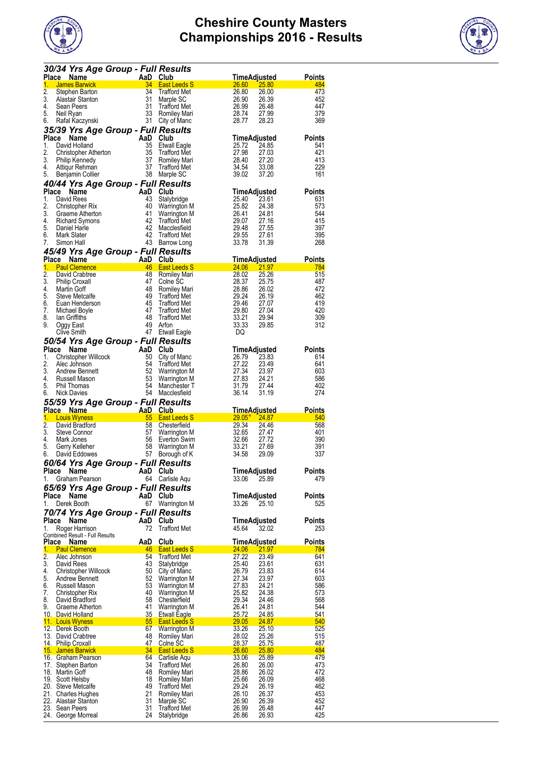



|              | 30/34 Yrs Age Group - Full Results               |                                                                                 |                                            |                                          |                      |
|--------------|--------------------------------------------------|---------------------------------------------------------------------------------|--------------------------------------------|------------------------------------------|----------------------|
|              | Place Name                                       | $\begin{array}{ c c } \hline & \text{AaD} \\ \hline & 34 \\ \hline \end{array}$ | Club                                       | <b>TimeAdjusted</b>                      | Points               |
| 1.           | <b>James Barwick</b>                             |                                                                                 | <b>East Leeds S</b>                        | 26.60<br><b>25.80</b>                    | 484                  |
| 2.<br>3.     | Stephen Barton<br>Alastair Stanton               | 34<br>31                                                                        | <b>Trafford Met</b><br>Marple SC           | 26.80<br>26.00<br>26.90<br>26.39         | 473<br>452           |
| 4.           | Sean Peers                                       | 31                                                                              | <b>Trafford Met</b>                        | 26.99<br>26.48                           | 447                  |
| 5.<br>6.     | Neil Ryan<br>Ratal Kaczynski                     | 33<br>31                                                                        | Romiley Mari<br>City of Manc               | 28.74<br>27.99<br>28.77<br>28.23         | 379<br>369           |
|              | 35/39 Yrs Age Group - Full Results               |                                                                                 |                                            |                                          |                      |
| <b>Place</b> | Name                                             | AaD                                                                             | Club                                       | TimeAdjusted                             | <b>Points</b>        |
| 1.           | David Holland                                    | 35                                                                              | <b>Etwall Eagle</b>                        | 25.72<br>24.85                           | 541                  |
| 2.<br>3.     | Christopher Atherton                             | 35<br>37                                                                        | <b>Trafford Met</b>                        | 27.98<br>27.03<br>28.40<br>27.20         | 421<br>413           |
| 4.           | Philip Kennedy<br>Attiqur Rehman                 | 37                                                                              | Romiley Mari<br><b>Trafford Met</b>        | 34.54<br>33.08                           | 229                  |
| 5.           | Benjamin Collier                                 | 38                                                                              | Marple SC                                  | 39.02<br>37.20                           | 161                  |
|              | 40/44 Yrs Age Group - Full Results               |                                                                                 |                                            |                                          |                      |
| Place<br>1.  | Name                                             | AaD<br>43                                                                       | Club                                       | TimeAdjusted                             | <b>Points</b>        |
| 2.           | David Rees<br>Christopher Rix                    | 40                                                                              | Stalybridge<br>Warrington M                | 25.40<br>23.61<br>25.82<br>24.38         | 631<br>573           |
| 3.           | Graeme Atherton                                  | 41                                                                              | Warrington M                               | 26.41<br>24.81                           | 544                  |
| 4.           | <b>Richard Symons</b>                            | 42                                                                              | <b>Trafford Met</b>                        | 29.07<br>27.16                           | 415                  |
| 5.<br>6.     | Daniel Harle<br>Mark Slater                      | 42<br>42                                                                        | Macclesfield<br><b>Trafford Met</b>        | 29.48<br>27.55<br>29.55<br>27.61         | 397<br>395           |
| 7.           | Simon Hall                                       | 43                                                                              | Barrow Long                                | 33.78<br>31.39                           | 268                  |
|              | 45/49 Yrs Age Group - Full Results               |                                                                                 |                                            |                                          |                      |
|              | Place Name                                       | AaD Club                                                                        |                                            | <u>TimeAdjusted</u>                      | Points               |
| 1.<br>2.     | <b>Paul Clemence</b><br>David Crabtree           | 46<br>48                                                                        | <b>East Leeds S</b><br>Romiley Mari        | 24.06<br>21.97<br>28.02<br>25.26         | 784<br>515           |
| 3.           | <b>Philip Croxall</b>                            | 47                                                                              | Colne SC                                   | 28.37<br>25.75                           | 487                  |
| 4.           | Martin Goff                                      | 48                                                                              | Romiley Mari                               | 28.86<br>26.02                           | 472                  |
| 5.<br>6.     | Steve Metcalte<br>Euan Henderson                 | 49<br>45                                                                        | <b>Trafford Met</b><br><b>Trafford Met</b> | 29.24<br>26.19<br>29.46<br>27.07         | 462<br>419           |
| 7.           | Michael Boyle                                    | 47                                                                              | <b>Trafford Met</b>                        | 29.80<br>27.04                           | 420                  |
| 8.           | lan Griffiths                                    | 48                                                                              | <b>Trafford Met</b>                        | 33.21<br>29.94                           | 309                  |
| 9.           | Oggy East                                        | 49                                                                              | Arfon                                      | 33.33<br>29.85                           | 312                  |
|              | Clive Smith                                      | 47                                                                              | <b>Etwall Eagle</b>                        | DQ                                       |                      |
| <b>Place</b> | 50/54 Yrs Age Group - Full Results<br>Name       | AaD Club                                                                        |                                            | TimeAdjusted                             | Points               |
| 1.           | Christopher Willcock                             | 50                                                                              | City of Manc                               | 26.79<br>23.83                           | 614                  |
| 2.           | Alec Johnson                                     | 54                                                                              | Trafford Met                               | 27.22<br>23.49                           | 641                  |
| 3.<br>4.     | Andrew Bennett<br>Russell Mason                  | 52<br>53                                                                        | Warrington M                               | 27.34<br>23.97<br>27.83<br>24.21         | 603<br>586           |
| 5.           | Phil Thomas                                      | 54                                                                              | Warrington M<br>Manchester T               | 31.79<br>27.44                           | 402                  |
| 6.           | Nick Davies                                      | 54                                                                              | Macclesfield                               | 36.14<br>31.19                           | 274                  |
|              | 55/59 Yrs Age Group - Full Results               |                                                                                 |                                            |                                          |                      |
| 1.           | Place Name<br><b>Louis Wyness</b>                | <u>AaD Club</u><br>55                                                           | <b>East Leeds S</b>                        | <u>TimeAdjusted</u><br>$29.05*$<br>24.87 | <u>Points</u><br>540 |
| 2.           | David Bradford                                   | 58                                                                              | Chesterfield                               | 29.34<br>24.46                           | 568                  |
| 3.           | Steve Connor                                     | 57                                                                              | Warrington M                               | 32.65<br>27.47                           | 401                  |
| 4.<br>5.     | Mark Jones<br>Gerry Kelleher                     | 56<br>58                                                                        | Everton Swim                               | 32.66<br>27.72<br>33.21<br>27.69         | 390<br>391           |
| 6.           | David Eddowes                                    | 57                                                                              | Warrington M<br>Borough of K               | 34.58<br>29.09                           | 337                  |
|              | 60/64 Yrs Age Group - Full Results               |                                                                                 |                                            |                                          |                      |
| Place        | Name                                             | AaD                                                                             | Club                                       | TimeAdjusted                             | Points               |
| 1.           | Graham Pearson                                   |                                                                                 | 64 Carlisle Aqu                            | 25.89<br>33.06                           | 479                  |
| Place        | 65/69 Yrs Age Group - Full Results<br>Name       | AaD Club                                                                        |                                            | <b>TimeAdjusted</b>                      | Points               |
| 1.           | Derek Booth                                      |                                                                                 | 67 Warrington M                            | 33.26<br>25.10                           | 525                  |
|              | 70/74 Yrs Age Group - Full Results               |                                                                                 |                                            |                                          |                      |
| Place        | Name                                             | AaD                                                                             | Club                                       | TimeAdjusted                             | Points               |
| 1.           | Roger Harrison<br>Combined Result - Full Results | 72                                                                              | Trafford Met                               | 45.64<br>32.02                           | 253                  |
|              | Place Name                                       | AaD                                                                             | Club                                       | <b>TimeAdjusted</b>                      | <u>Points</u>        |
| 1.<br>2.     | <b>Paul Clemence</b><br>Alec Johnson             | 46<br>54                                                                        | <b>East Leeds S</b><br><b>Trafford Met</b> | 21.97<br><b>24.06</b><br>27.22<br>23.49  | 784<br>641           |
| 3.           | David Rees                                       |                                                                                 |                                            |                                          |                      |
| 4.           |                                                  |                                                                                 |                                            |                                          |                      |
| 5.           | Christopher Willcock                             | 43<br>50                                                                        | Stalybridge<br>City of Manc                | 25.40<br>23.61<br>26.79<br>23.83         | 631<br>614           |
| 6.           | Andrew Bennett                                   | 52                                                                              | Warrington M                               | 27.34<br>23.97                           | 603                  |
|              | Russell Mason                                    | 53                                                                              | Warrington M                               | 27.83<br>24.21                           | 586                  |
| 7.<br>8.     | Christopher Rix                                  | 40<br>58                                                                        | Warrington M                               | 25.82<br>24.38                           | 573<br>568           |
| 9.           | David Bradford<br>Graeme Atherton                | 41                                                                              | Chesterfield<br>Warrington M               | 29.34<br>24.46<br>26.41<br>24.81         | 544                  |
|              | 10. David Holland                                | <u>35</u>                                                                       | <b>Etwall Eagle</b>                        | <u> 25.72 </u><br>24.85                  | 541                  |
|              | 11. Louis Wyness                                 | 55                                                                              | <b>East Leeds S</b>                        | 29.05<br>24.87                           | 540                  |
|              | 12. Derek Booth<br>13. David Crabtree            | 67<br>48                                                                        | Warrington M<br>Romiley Mari               | 33.26<br>25.10<br>28.02<br>25.26         | 525<br>515           |
|              | 14. Philip Croxall                               | 47                                                                              | Colne SC                                   | <u>28.37</u><br><u>25.75</u>             | 487                  |
|              | <u>15. James Barwick</u>                         | 34                                                                              | <b>East Leeds S</b>                        | 25.80<br><b>26.60</b>                    | 484                  |
|              | 16. Graham Pearson<br>17. Stephen Barton         | 64<br>34                                                                        | Carlisle Aqu<br><b>Trafford Met</b>        | 25.89<br>33.06<br>26.80<br>26.00         | 479<br>473           |
|              | 18. Martin Goff                                  | 48                                                                              | Romiley Mari                               | 28.86<br>26.02                           | 472                  |
|              | 19. Scott Helsby                                 | 18                                                                              | Romiley Mari                               | 25.66<br>26.09                           | 468                  |
|              | 20. Steve Metcalfe                               | 49<br>21                                                                        | <b>Trafford Met</b>                        | 26.19<br>29.24<br>26.10<br>26.37         | 462<br>453           |
|              | 21. Charles Hughes<br>22. Alastair Stanton       | 31                                                                              | Romiley Mari<br>Marple SC                  | 26.39<br>26.90                           | 452                  |
|              | 23. Sean Peers<br>24. George Morreal             | 31<br>24                                                                        | Trafford Met<br>Stalybridge                | 26.99<br>26.48<br>26.86<br>26.93         | 447<br>425           |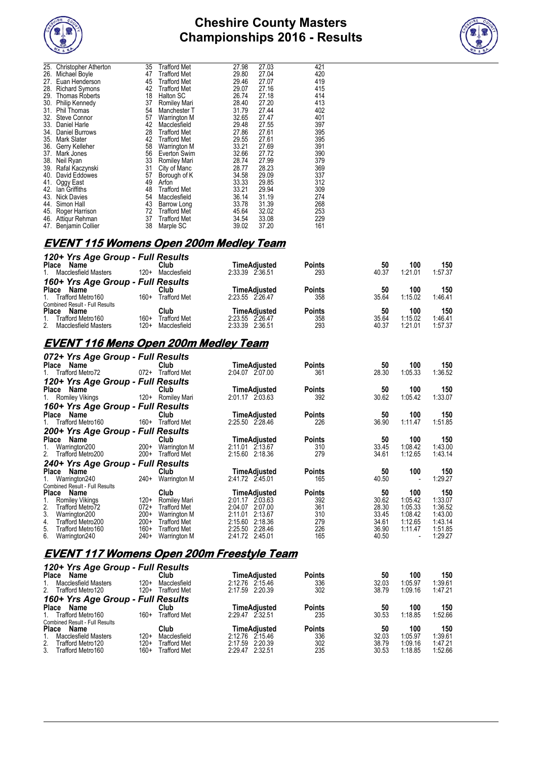



| <b>Christopher Atherton</b> | 35                             | Trafford Met        | 27.98                        | 27.03 | 421 |
|-----------------------------|--------------------------------|---------------------|------------------------------|-------|-----|
| Michael Boyle               | 47                             | <b>Trafford Met</b> | 29.80                        | 27.04 | 420 |
| Euan Henderson              | 45                             | <b>Trafford Met</b> | 29.46                        | 27.07 | 419 |
| <b>Richard Symons</b>       | 42                             | <b>Trafford Met</b> | 29.07                        | 27.16 | 415 |
| Thomas Roberts              | 18                             | Halton SC           | 26.74                        | 27.18 | 414 |
| Philip Kennedy              | 37                             |                     | 28.40                        | 27.20 | 413 |
| Phil Thomas                 | 54                             | Manchester T        | 31.79                        | 27.44 | 402 |
| <b>Steve Connor</b>         | 57                             | Warrington M        | 32.65                        | 27.47 | 401 |
| Daniel Harle                | 42                             | Macclesfield        | 29.48                        | 27.55 | 397 |
| Daniel Burrows              | 28                             | <b>Trafford Met</b> | 27.86                        | 27.61 | 395 |
| <b>Mark Slater</b>          | 42                             | <b>Trafford Met</b> | 29.55                        | 27.61 | 395 |
| Gerry Kelleher              | 58                             | Warrington M        | 33.21                        | 27.69 | 391 |
| Mark Jones                  | 56                             | Everton Swim        | 32.66                        | 27.72 | 390 |
| Neil Ryan                   | 33                             | Romiley Mari        | 28.74                        | 27.99 | 379 |
| Rafal Kaczynski             | 31                             | City of Manc        | 28.77                        | 28.23 | 369 |
| David Eddowes               | 57                             |                     | 34.58                        | 29.09 | 337 |
|                             | 49                             | Arfon               |                              | 29.85 | 312 |
| lan Griffiths               | 48                             | <b>Trafford Met</b> | 33.21                        | 29.94 | 309 |
| <b>Nick Davies</b>          | 54                             | Macclesfield        | 36.14                        | 31.19 | 274 |
| Simon Hall                  | 43                             | Barrow Long         | 33.78                        | 31.39 | 268 |
| Roger Harrison              | 72                             | <b>Trafford Met</b> | 45.64                        | 32.02 | 253 |
| Attigur Rehman              | 37                             | <b>Trafford Met</b> | 34.54                        | 33.08 | 229 |
| <b>Benjamin Collier</b>     | 38                             | Marple SC           | 39.02                        | 37.20 | 161 |
|                             | 25.<br>39.<br>Oggy East<br>47. |                     | Romiley Mari<br>Borough of K | 33.33 |     |

#### **EVENT 115 Womens Open 200m Medley Team**

| 120+ Yrs Age Group - Full Results     |        |                     |                 |              |               |       |         |         |
|---------------------------------------|--------|---------------------|-----------------|--------------|---------------|-------|---------|---------|
| Place<br>Name                         |        | Club                |                 | TimeAdiusted | <b>Points</b> | 50    | 100     | 150     |
| 1. Macclesfield Masters               | $120+$ | Macclesfield        | 2:33.39 2:36.51 |              | 293           | 40.37 | 1:21.01 | 1:57.37 |
| 160+ Yrs Age Group - Full Results     |        |                     |                 |              |               |       |         |         |
| <b>Place</b><br>Name                  |        | Club                |                 | TimeAdiusted | <b>Points</b> | 50    | 100     | 150     |
| 1. Trafford Metro160                  | $160+$ | <b>Trafford Met</b> | 2:23.55 2:26.47 |              | 358           | 35.64 | 1:15.02 | 1:46.41 |
| <b>Combined Result - Full Results</b> |        |                     |                 |              |               |       |         |         |
| Place<br>Name                         |        | Club                |                 | TimeAdiusted | <b>Points</b> | 50    | 100     | 150     |
| Trafford Metro160                     | $160+$ | <b>Trafford Met</b> | 2:23.55 2:26.47 |              | 358           | 35.64 | 1:15.02 | 1:46.41 |
| 2. Macclesfield Masters               | 120+   | Macclesfield        | 2:33.39 2:36.51 |              | 293           | 40.37 | 1:21.01 | 1:57.37 |

# **EVENT 116 Mens Open 200m Medley Team**

| 072+ Yrs Age Group - Full Results                |        |                     |                     |               |       |         |         |
|--------------------------------------------------|--------|---------------------|---------------------|---------------|-------|---------|---------|
| Name<br>Place                                    |        | Club                | <b>TimeAdjusted</b> | <b>Points</b> | 50    | 100     | 150     |
| Trafford Metro72<br>1.                           | $072+$ | Trafford Met        | 2:04.07 2:07.00     | 361           | 28.30 | 1:05.33 | 1:36.52 |
| 120+ Yrs Age Group - Full Results                |        |                     |                     |               |       |         |         |
| Place<br>Name                                    |        | Club                | TimeAdjusted        | <b>Points</b> | 50    | 100     | 150     |
| 1. Romiley Vikings                               | $120+$ | Romiley Mari        | 2:01.17 2:03.63     | 392           | 30.62 | 1:05.42 | 1:33.07 |
| 160+ Yrs Age Group - Full Results                |        |                     |                     |               |       |         |         |
| Name<br>Place                                    |        | Club                | TimeAdjusted        | <b>Points</b> | 50    | 100     | 150     |
| Trafford Metro160<br>1.                          | $160+$ | <b>Trafford Met</b> | 2:25.50 2:28.46     | 226           | 36.90 | 1:11.47 | 1:51.85 |
| 200+ Yrs Age Group - Full Results                |        |                     |                     |               |       |         |         |
| Name<br>Place                                    |        | Club                | TimeAdjusted        | <b>Points</b> | 50    | 100     | 150     |
| Warrington200                                    | $200+$ | <b>Warrington M</b> | 2:11.01 2:13.67     | 310           | 33.45 | 1:08.42 | 1:43.00 |
| 2.<br>Trafford Metro200                          | $200+$ | <b>Trafford Met</b> | 2:15.60<br>2:18.36  | 279           | 34.61 | 1:12.65 | 1:43.14 |
| 240+ Yrs Age Group - Full Results                |        |                     |                     |               |       |         |         |
| <b>Place</b><br>Name                             |        | Club                | TimeAdjusted        | <b>Points</b> | 50    | 100     | 150     |
| Warrington240                                    | 240+   | Warrington M        | 2:41.72 2:45.01     | 165           | 40.50 |         | 1:29.27 |
| Combined Result - Full Results                   |        |                     |                     |               |       |         |         |
| <b>Place</b><br>Name                             |        | <b>Club</b>         | TimeAdjusted        | <b>Points</b> | 50    | 100     | 150     |
| <b>Romiley Vikings</b>                           | $120+$ | Romiley Mari        | 2:01.17 2:03.63     | 392           | 30.62 | 1:05.42 | 1:33.07 |
| 2.<br>Trafford Metro72                           | $072+$ | <b>Trafford Met</b> | 2:07.00<br>2:04.07  | 361           | 28.30 | 1:05.33 | 1:36.52 |
| 3.<br>Warrington200                              | $200+$ | <b>Warrington M</b> | 2:11.01<br>2:13.67  | 310           | 33.45 | 1:08.42 | 1:43.00 |
| 4.<br>Trafford Metro200                          | $200+$ | <b>Trafford Met</b> | 2:18.36<br>2:15.60  | 279           | 34.61 | 1:12.65 | 1:43.14 |
| 5.<br>Trafford Metro160                          | $160+$ | <b>Trafford Met</b> | 2:25.50<br>2:28.46  | 226           | 36.90 | 1:11.47 | 1:51.85 |
| 6.<br>Warrington240                              | $240+$ | Warrington M        | 2:41.72 2:45.01     | 165           | 40.50 |         | 1:29.27 |
|                                                  |        |                     |                     |               |       |         |         |
| <b>EVENT 117 Womens Open 200m Freestyle Team</b> |        |                     |                     |               |       |         |         |
|                                                  |        |                     |                     |               |       |         |         |

| 120+ Yrs Age Group - Full Results     |        |                     |                     |               |       |         |         |
|---------------------------------------|--------|---------------------|---------------------|---------------|-------|---------|---------|
| <b>Place</b><br>Name                  |        | Club                | TimeAdiusted        | <b>Points</b> | 50    | 100     | 150     |
| <b>Macclesfield Masters</b>           | $120+$ | Macclesfield        | 2:12.76 2:15.46     | 336           | 32.03 | 1:05.97 | 1:39.61 |
| 2.<br>Trafford Metro120               | $120+$ | <b>Trafford Met</b> | 2:17.59 2:20.39     | 302           | 38.79 | 1:09.16 | 1:47.21 |
| 160+ Yrs Age Group - Full Results     |        |                     |                     |               |       |         |         |
| <b>Place</b><br>Name                  |        | Club                | <b>TimeAdjusted</b> | <b>Points</b> | 50    | 100     | 150     |
| Trafford Metro160                     | $160+$ | Trafford Met        | 2:29.47 2:32.51     | 235           | 30.53 | 1:18.85 | 1:52.66 |
| <b>Combined Result - Full Results</b> |        |                     |                     |               |       |         |         |
| <b>Place</b><br>Name                  |        | Club                | <b>TimeAdiusted</b> | <b>Points</b> | 50    | 100     | 150     |
| <b>Macclesfield Masters</b>           | $120+$ | Macclesfield        | 2:12.76 2:15.46     | 336           | 32.03 | 1:05.97 | 1:39.61 |
| 2.<br>Trafford Metro120               | 120+   | Trafford Met        | 2:17.59 2:20.39     | 302           | 38.79 | 1:09.16 | 1:47.21 |
| $3_{-}$<br>Trafford Metro160          | 160+   | Trafford Met        | 2:29.47 2:32.51     | 235           | 30.53 | 1:18.85 | 1:52.66 |